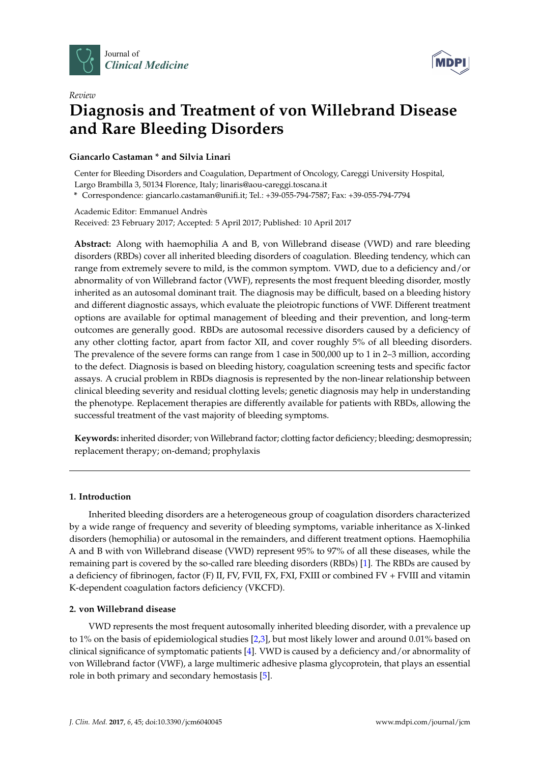



# *Review* **Diagnosis and Treatment of von Willebrand Disease and Rare Bleeding Disorders**

# **Giancarlo Castaman \* and Silvia Linari**

Center for Bleeding Disorders and Coagulation, Department of Oncology, Careggi University Hospital, Largo Brambilla 3, 50134 Florence, Italy; linaris@aou-careggi.toscana.it

**\*** Correspondence: giancarlo.castaman@unifi.it; Tel.: +39-055-794-7587; Fax: +39-055-794-7794

Academic Editor: Emmanuel Andrès Received: 23 February 2017; Accepted: 5 April 2017; Published: 10 April 2017

**Abstract:** Along with haemophilia A and B, von Willebrand disease (VWD) and rare bleeding disorders (RBDs) cover all inherited bleeding disorders of coagulation. Bleeding tendency, which can range from extremely severe to mild, is the common symptom. VWD, due to a deficiency and/or abnormality of von Willebrand factor (VWF), represents the most frequent bleeding disorder, mostly inherited as an autosomal dominant trait. The diagnosis may be difficult, based on a bleeding history and different diagnostic assays, which evaluate the pleiotropic functions of VWF. Different treatment options are available for optimal management of bleeding and their prevention, and long-term outcomes are generally good. RBDs are autosomal recessive disorders caused by a deficiency of any other clotting factor, apart from factor XII, and cover roughly 5% of all bleeding disorders. The prevalence of the severe forms can range from 1 case in 500,000 up to 1 in 2–3 million, according to the defect. Diagnosis is based on bleeding history, coagulation screening tests and specific factor assays. A crucial problem in RBDs diagnosis is represented by the non-linear relationship between clinical bleeding severity and residual clotting levels; genetic diagnosis may help in understanding the phenotype. Replacement therapies are differently available for patients with RBDs, allowing the successful treatment of the vast majority of bleeding symptoms.

**Keywords:** inherited disorder; von Willebrand factor; clotting factor deficiency; bleeding; desmopressin; replacement therapy; on-demand; prophylaxis

# **1. Introduction**

Inherited bleeding disorders are a heterogeneous group of coagulation disorders characterized by a wide range of frequency and severity of bleeding symptoms, variable inheritance as X-linked disorders (hemophilia) or autosomal in the remainders, and different treatment options. Haemophilia A and B with von Willebrand disease (VWD) represent 95% to 97% of all these diseases, while the remaining part is covered by the so-called rare bleeding disorders (RBDs) [\[1\]](#page-14-0). The RBDs are caused by a deficiency of fibrinogen, factor (F) II, FV, FVII, FX, FXI, FXIII or combined FV + FVIII and vitamin K-dependent coagulation factors deficiency (VKCFD).

# **2. von Willebrand disease**

VWD represents the most frequent autosomally inherited bleeding disorder, with a prevalence up to 1% on the basis of epidemiological studies [\[2](#page-14-1)[,3\]](#page-14-2), but most likely lower and around 0.01% based on clinical significance of symptomatic patients [\[4\]](#page-14-3). VWD is caused by a deficiency and/or abnormality of von Willebrand factor (VWF), a large multimeric adhesive plasma glycoprotein, that plays an essential role in both primary and secondary hemostasis [\[5\]](#page-14-4).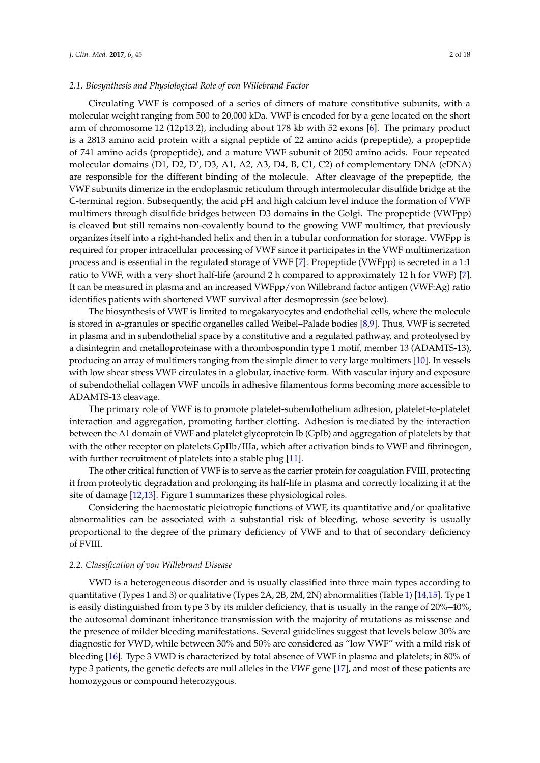Circulating VWF is composed of a series of dimers of mature constitutive subunits, with a molecular weight ranging from 500 to 20,000 kDa. VWF is encoded for by a gene located on the short arm of chromosome 12 (12p13.2), including about 178 kb with 52 exons [\[6\]](#page-14-5). The primary product is a 2813 amino acid protein with a signal peptide of 22 amino acids (prepeptide), a propeptide of 741 amino acids (propeptide), and a mature VWF subunit of 2050 amino acids. Four repeated molecular domains (D1, D2, D', D3, A1, A2, A3, D4, B, C1, C2) of complementary DNA (cDNA) are responsible for the different binding of the molecule. After cleavage of the prepeptide, the VWF subunits dimerize in the endoplasmic reticulum through intermolecular disulfide bridge at the C-terminal region. Subsequently, the acid pH and high calcium level induce the formation of VWF multimers through disulfide bridges between D3 domains in the Golgi. The propeptide (VWFpp) is cleaved but still remains non-covalently bound to the growing VWF multimer, that previously organizes itself into a right-handed helix and then in a tubular conformation for storage. VWFpp is required for proper intracellular processing of VWF since it participates in the VWF multimerization process and is essential in the regulated storage of VWF [\[7\]](#page-14-6). Propeptide (VWFpp) is secreted in a 1:1 ratio to VWF, with a very short half-life (around 2 h compared to approximately 12 h for VWF) [\[7\]](#page-14-6). It can be measured in plasma and an increased VWFpp/von Willebrand factor antigen (VWF:Ag) ratio identifies patients with shortened VWF survival after desmopressin (see below).

The biosynthesis of VWF is limited to megakaryocytes and endothelial cells, where the molecule is stored in  $\alpha$ -granules or specific organelles called Weibel–Palade bodies [\[8](#page-14-7)[,9\]](#page-14-8). Thus, VWF is secreted in plasma and in subendothelial space by a constitutive and a regulated pathway, and proteolysed by a disintegrin and metalloproteinase with a thrombospondin type 1 motif, member 13 (ADAMTS-13), producing an array of multimers ranging from the simple dimer to very large multimers [\[10\]](#page-14-9). In vessels with low shear stress VWF circulates in a globular, inactive form. With vascular injury and exposure of subendothelial collagen VWF uncoils in adhesive filamentous forms becoming more accessible to ADAMTS-13 cleavage.

The primary role of VWF is to promote platelet-subendothelium adhesion, platelet-to-platelet interaction and aggregation, promoting further clotting. Adhesion is mediated by the interaction between the A1 domain of VWF and platelet glycoprotein Ib (GpIb) and aggregation of platelets by that with the other receptor on platelets GpIIb/IIIa, which after activation binds to VWF and fibrinogen, with further recruitment of platelets into a stable plug [\[11\]](#page-14-10).

The other critical function of VWF is to serve as the carrier protein for coagulation FVIII, protecting it from proteolytic degradation and prolonging its half-life in plasma and correctly localizing it at the site of damage [\[12](#page-14-11)[,13\]](#page-14-12). Figure [1](#page-2-0) summarizes these physiological roles.

Considering the haemostatic pleiotropic functions of VWF, its quantitative and/or qualitative abnormalities can be associated with a substantial risk of bleeding, whose severity is usually proportional to the degree of the primary deficiency of VWF and to that of secondary deficiency of FVIII.

## *2.2. Classification of von Willebrand Disease*

VWD is a heterogeneous disorder and is usually classified into three main types according to quantitative (Types 1 and 3) or qualitative (Types 2A, 2B, 2M, 2N) abnormalities (Table [1\)](#page-2-1) [\[14,](#page-14-13)[15\]](#page-14-14). Type 1 is easily distinguished from type 3 by its milder deficiency, that is usually in the range of 20%–40%, the autosomal dominant inheritance transmission with the majority of mutations as missense and the presence of milder bleeding manifestations. Several guidelines suggest that levels below 30% are diagnostic for VWD, while between 30% and 50% are considered as "low VWF" with a mild risk of bleeding [\[16\]](#page-14-15). Type 3 VWD is characterized by total absence of VWF in plasma and platelets; in 80% of type 3 patients, the genetic defects are null alleles in the *VWF* gene [\[17\]](#page-14-16), and most of these patients are homozygous or compound heterozygous.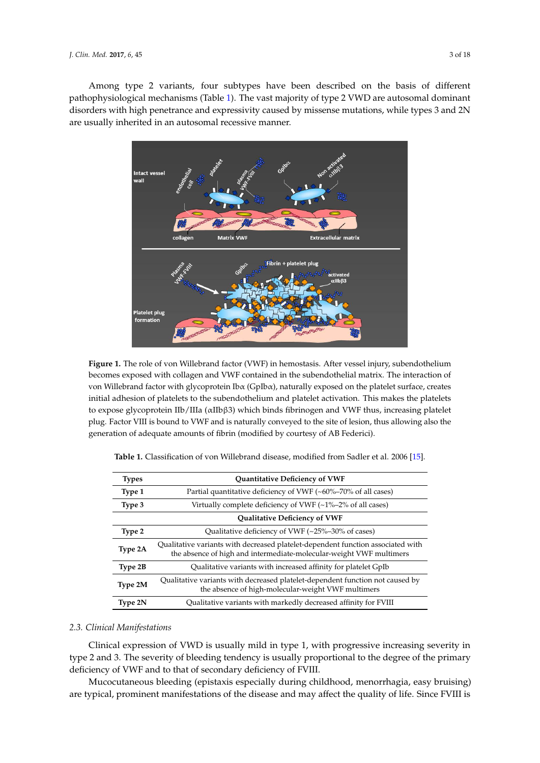Among type 2 variants, four subtypes have been described on the basis of different pathophysiological mechanisms (Table [1\)](#page-2-1). The vast majority of type 2 VWD are autosomal dominant disorders with high penetrance and expressivity caused by missense mutations, while types 3 and 2N are usually inherited in an autosomal recessive manner.

<span id="page-2-0"></span>

**Figure 1.** The role of von Willebrand factor (VWF) in hemostasis. After vessel injury, subendothelium becomes exposed with collagen and VWF contained in the subendothelial matrix. The interaction of von Willebrand factor with glycoprotein Ibα (GpIbα), naturally exposed on the platelet surface, creates initial adhesion of platelets to the subendothelium and platelet activation. This makes the platelets plate  $\sum_{i=1}^N$  is the VIII  $\sum_{i=1}^N$  is not to the site of less of less of  $\sum_{i=1}^N$  and  $\sum_{i=1}^N$  and  $\sum_{i=1}^N$  is allowed to the site of less in  $\sum_{i=1}^N$ to expose glycoprotein IIb/IIIa (αIIbβ3) which binds fibrinogen and VWF thus, increasing platelet<br>the expose glycoprotein IIb/IIIa (αIIbβ3) which binds fibrinogen and VWF thus, increasing platelet generation of adequate amounts of fibrin (modified by courtesy of AB Federici). plug. Factor VIII is bound to VWF and is naturally conveyed to the site of lesion, thus allowing also the

| Types   | Quantitative Deficiency of VWF                                                                                                                         |
|---------|--------------------------------------------------------------------------------------------------------------------------------------------------------|
| Type 1  | Partial quantitative deficiency of VWF $(\sim 60\% - 70\%$ of all cases)                                                                               |
| Type 3  | Virtually complete deficiency of VWF $(-1\% -2\%$ of all cases)                                                                                        |
|         | <b>Qualitative Deficiency of VWF</b>                                                                                                                   |
| Type 2  | Qualitative deficiency of VWF $(-25\textdegree-30\textdegree)$ of cases)                                                                               |
| Type 2A | Qualitative variants with decreased platelet-dependent function associated with<br>the absence of high and intermediate-molecular-weight VWF multimers |
| Type 2B | Qualitative variants with increased affinity for platelet GpIb                                                                                         |
| Type 2M | Qualitative variants with decreased platelet-dependent function not caused by<br>the absence of high-molecular-weight VWF multimers                    |
| Type 2N | Qualitative variants with markedly decreased affinity for FVIII                                                                                        |

<span id="page-2-1"></span>**Table 1.** Classification of von Willebrand disease, modified from Sadler et al. 2006 [\[15\]](#page-14-14).

#### usually only mildly reduced, manifestations of a severe coagulation defect (haemarthrosis, deep *2.3. Clinical Manifestations* muscle hematomas) are rare except in type 3 VWD, where the severity of bleeding may be similar to be similar to

Clinical expression of VWD is usually mild in type 1, with progressive increasing severity in type 2 and 3. The severity of bleeding tendency is usually proportional to the degree of the primary deficiency of VWF and to that of secondary deficiency of FVIII.

Mucocutaneous bleeding (epistaxis especially during childhood, menorrhagia, easy bruising) are typical, prominent manifestations of the disease and may affect the quality of life. Since FVIII is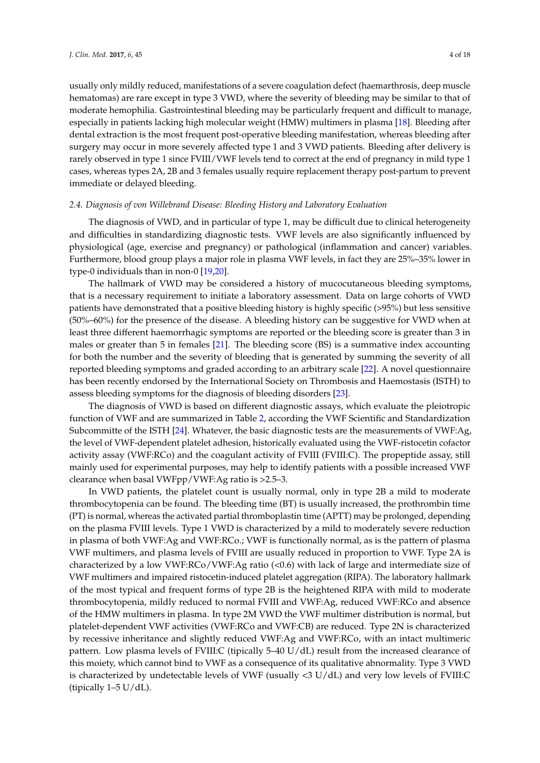usually only mildly reduced, manifestations of a severe coagulation defect (haemarthrosis, deep muscle hematomas) are rare except in type 3 VWD, where the severity of bleeding may be similar to that of moderate hemophilia. Gastrointestinal bleeding may be particularly frequent and difficult to manage, especially in patients lacking high molecular weight (HMW) multimers in plasma [\[18\]](#page-14-17). Bleeding after dental extraction is the most frequent post-operative bleeding manifestation, whereas bleeding after surgery may occur in more severely affected type 1 and 3 VWD patients. Bleeding after delivery is rarely observed in type 1 since FVIII/VWF levels tend to correct at the end of pregnancy in mild type 1 cases, whereas types 2A, 2B and 3 females usually require replacement therapy post-partum to prevent immediate or delayed bleeding.

## *2.4. Diagnosis of von Willebrand Disease: Bleeding History and Laboratory Evaluation*

The diagnosis of VWD, and in particular of type 1, may be difficult due to clinical heterogeneity and difficulties in standardizing diagnostic tests. VWF levels are also significantly influenced by physiological (age, exercise and pregnancy) or pathological (inflammation and cancer) variables. Furthermore, blood group plays a major role in plasma VWF levels, in fact they are 25%–35% lower in type-0 individuals than in non-0 [\[19](#page-14-18)[,20\]](#page-14-19).

The hallmark of VWD may be considered a history of mucocutaneous bleeding symptoms, that is a necessary requirement to initiate a laboratory assessment. Data on large cohorts of VWD patients have demonstrated that a positive bleeding history is highly specific (>95%) but less sensitive (50%–60%) for the presence of the disease. A bleeding history can be suggestive for VWD when at least three different haemorrhagic symptoms are reported or the bleeding score is greater than 3 in males or greater than 5 in females [\[21\]](#page-14-20). The bleeding score (BS) is a summative index accounting for both the number and the severity of bleeding that is generated by summing the severity of all reported bleeding symptoms and graded according to an arbitrary scale [\[22\]](#page-14-21). A novel questionnaire has been recently endorsed by the International Society on Thrombosis and Haemostasis (ISTH) to assess bleeding symptoms for the diagnosis of bleeding disorders [\[23\]](#page-14-22).

The diagnosis of VWD is based on different diagnostic assays, which evaluate the pleiotropic function of VWF and are summarized in Table [2,](#page-4-0) according the VWF Scientific and Standardization Subcommitte of the ISTH [\[24\]](#page-15-0). Whatever, the basic diagnostic tests are the measurements of VWF:Ag, the level of VWF-dependent platelet adhesion, historically evaluated using the VWF-ristocetin cofactor activity assay (VWF:RCo) and the coagulant activity of FVIII (FVIII:C). The propeptide assay, still mainly used for experimental purposes, may help to identify patients with a possible increased VWF clearance when basal VWFpp/VWF:Ag ratio is >2.5–3.

In VWD patients, the platelet count is usually normal, only in type 2B a mild to moderate thrombocytopenia can be found. The bleeding time (BT) is usually increased, the prothrombin time (PT) is normal, whereas the activated partial thromboplastin time (APTT) may be prolonged, depending on the plasma FVIII levels. Type 1 VWD is characterized by a mild to moderately severe reduction in plasma of both VWF:Ag and VWF:RCo.; VWF is functionally normal, as is the pattern of plasma VWF multimers, and plasma levels of FVIII are usually reduced in proportion to VWF. Type 2A is characterized by a low VWF:RCo/VWF:Ag ratio (<0.6) with lack of large and intermediate size of VWF multimers and impaired ristocetin-induced platelet aggregation (RIPA). The laboratory hallmark of the most typical and frequent forms of type 2B is the heightened RIPA with mild to moderate thrombocytopenia, mildly reduced to normal FVIII and VWF:Ag, reduced VWF:RCo and absence of the HMW multimers in plasma. In type 2M VWD the VWF multimer distribution is normal, but platelet-dependent VWF activities (VWF:RCo and VWF:CB) are reduced. Type 2N is characterized by recessive inheritance and slightly reduced VWF:Ag and VWF:RCo, with an intact multimeric pattern. Low plasma levels of FVIII:C (tipically 5–40 U/dL) result from the increased clearance of this moiety, which cannot bind to VWF as a consequence of its qualitative abnormality. Type 3 VWD is characterized by undetectable levels of VWF (usually <3 U/dL) and very low levels of FVIII:C (tipically 1–5 U/dL).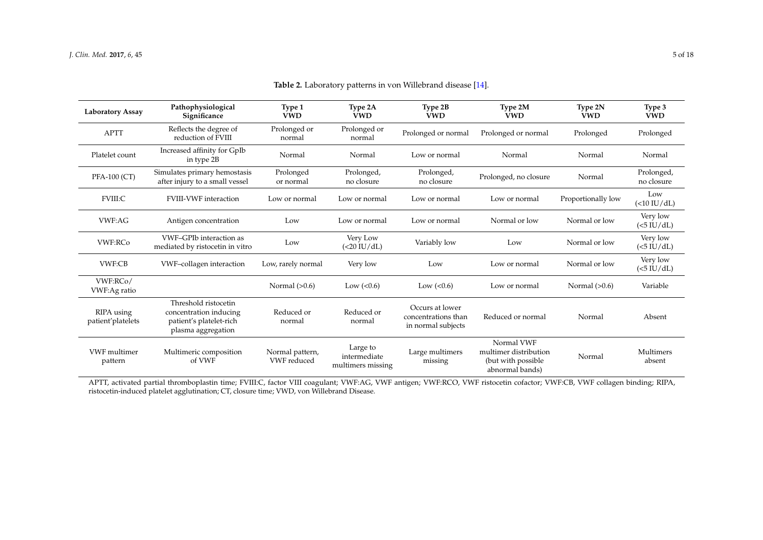| <b>Laboratory Assay</b>         | Pathophysiological<br>Significance                                                              | Type 1<br><b>VWD</b>           | Type 2A<br><b>VWD</b>                         | Type 2B<br><b>VWD</b>                                        | Type 2M<br><b>VWD</b>                                                         | Type 2N<br><b>VWD</b> | Type 3<br><b>VWD</b>     |
|---------------------------------|-------------------------------------------------------------------------------------------------|--------------------------------|-----------------------------------------------|--------------------------------------------------------------|-------------------------------------------------------------------------------|-----------------------|--------------------------|
| <b>APTT</b>                     | Reflects the degree of<br>reduction of FVIII                                                    | Prolonged or<br>normal         | Prolonged or<br>normal                        | Prolonged or normal                                          | Prolonged or normal                                                           | Prolonged             | Prolonged                |
| Platelet count                  | Increased affinity for GpIb<br>in type 2B                                                       | Normal                         | Normal                                        | Low or normal                                                | Normal                                                                        | Normal                | Normal                   |
| <b>PFA-100 (CT)</b>             | Simulates primary hemostasis<br>after injury to a small vessel                                  | Prolonged<br>or normal         | Prolonged,<br>no closure                      | Prolonged,<br>no closure                                     | Prolonged, no closure                                                         | Normal                | Prolonged,<br>no closure |
| <b>FVIII:C</b>                  | <b>FVIII-VWF</b> interaction                                                                    | Low or normal                  | Low or normal                                 | Low or normal                                                | Low or normal                                                                 | Proportionally low    | Low<br>(<10 IU/dL)       |
| VWF:AG                          | Antigen concentration                                                                           | Low                            | Low or normal                                 | Low or normal                                                | Normal or low                                                                 | Normal or low         | Very low<br>$(<5$ IU/dL) |
| <b>VWF:RCo</b>                  | VWF-GPIb interaction as<br>mediated by ristocetin in vitro                                      | Low                            | Very Low<br>(<20 IU/dL)                       | Variably low                                                 | Low                                                                           | Normal or low         | Very low<br>$(<5$ IU/dL) |
| VWF:CB                          | VWF-collagen interaction                                                                        | Low, rarely normal             | Very low                                      | Low                                                          | Low or normal                                                                 | Normal or low         | Very low<br>$(<5$ IU/dL) |
| VWF:RCo/<br>VWF:Ag ratio        |                                                                                                 | Normal $(>0.6)$                | Low $(< 0.6)$                                 | Low $(<0.6)$                                                 | Low or normal                                                                 | Normal $(>0.6)$       | Variable                 |
| RIPA using<br>patient'platelets | Threshold ristocetin<br>concentration inducing<br>patient's platelet-rich<br>plasma aggregation | Reduced or<br>normal           | Reduced or<br>normal                          | Occurs at lower<br>concentrations than<br>in normal subjects | Reduced or normal                                                             | Normal                | Absent                   |
| <b>VWF</b> multimer<br>pattern  | Multimeric composition<br>of VWF                                                                | Normal pattern,<br>VWF reduced | Large to<br>intermediate<br>multimers missing | Large multimers<br>missing                                   | Normal VWF<br>multimer distribution<br>(but with possible)<br>abnormal bands) | Normal                | Multimers<br>absent      |

**Table 2.** Laboratory patterns in von Willebrand disease [\[14\]](#page-14-23).

<span id="page-4-0"></span>APTT, activated partial thromboplastin time; FVIII:C, factor VIII coagulant; VWF:AG, VWF antigen; VWF:RCO, VWF ristocetin cofactor; VWF:CB, VWF collagen binding; RIPA, ristocetin-induced platelet agglutination; CT, closure time; VWD, von Willebrand Disease.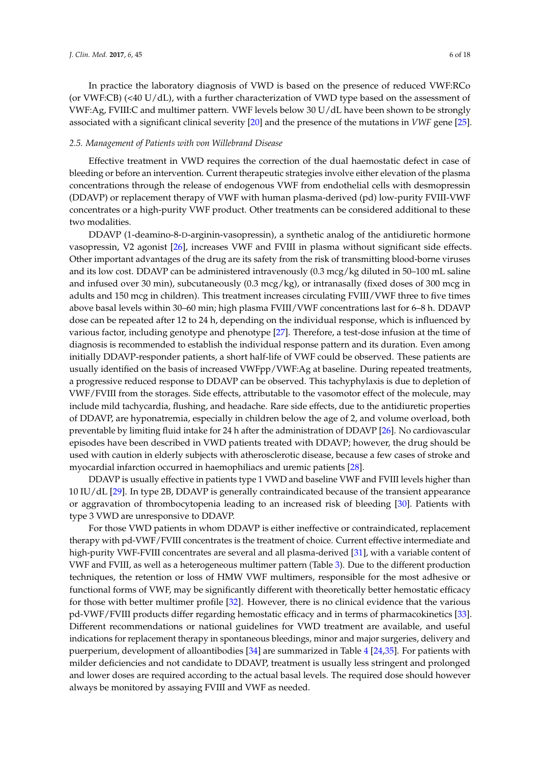In practice the laboratory diagnosis of VWD is based on the presence of reduced VWF:RCo (or VWF:CB) (<40 U/dL), with a further characterization of VWD type based on the assessment of VWF:Ag, FVIII:C and multimer pattern. VWF levels below 30 U/dL have been shown to be strongly associated with a significant clinical severity [\[20\]](#page-14-19) and the presence of the mutations in *VWF* gene [\[25\]](#page-15-1).

## *2.5. Management of Patients with von Willebrand Disease*

Effective treatment in VWD requires the correction of the dual haemostatic defect in case of bleeding or before an intervention. Current therapeutic strategies involve either elevation of the plasma concentrations through the release of endogenous VWF from endothelial cells with desmopressin (DDAVP) or replacement therapy of VWF with human plasma-derived (pd) low-purity FVIII-VWF concentrates or a high-purity VWF product. Other treatments can be considered additional to these two modalities.

DDAVP (1-deamino-8-D-arginin-vasopressin), a synthetic analog of the antidiuretic hormone vasopressin, V2 agonist [\[26\]](#page-15-2), increases VWF and FVIII in plasma without significant side effects. Other important advantages of the drug are its safety from the risk of transmitting blood-borne viruses and its low cost. DDAVP can be administered intravenously (0.3 mcg/kg diluted in 50–100 mL saline and infused over 30 min), subcutaneously (0.3 mcg/kg), or intranasally (fixed doses of 300 mcg in adults and 150 mcg in children). This treatment increases circulating FVIII/VWF three to five times above basal levels within 30–60 min; high plasma FVIII/VWF concentrations last for 6–8 h. DDAVP dose can be repeated after 12 to 24 h, depending on the individual response, which is influenced by various factor, including genotype and phenotype [\[27\]](#page-15-3). Therefore, a test-dose infusion at the time of diagnosis is recommended to establish the individual response pattern and its duration. Even among initially DDAVP-responder patients, a short half-life of VWF could be observed. These patients are usually identified on the basis of increased VWFpp/VWF:Ag at baseline. During repeated treatments, a progressive reduced response to DDAVP can be observed. This tachyphylaxis is due to depletion of VWF/FVIII from the storages. Side effects, attributable to the vasomotor effect of the molecule, may include mild tachycardia, flushing, and headache. Rare side effects, due to the antidiuretic properties of DDAVP, are hyponatremia, especially in children below the age of 2, and volume overload, both preventable by limiting fluid intake for 24 h after the administration of DDAVP [\[26\]](#page-15-2). No cardiovascular episodes have been described in VWD patients treated with DDAVP; however, the drug should be used with caution in elderly subjects with atherosclerotic disease, because a few cases of stroke and myocardial infarction occurred in haemophiliacs and uremic patients [\[28\]](#page-15-4).

DDAVP is usually effective in patients type 1 VWD and baseline VWF and FVIII levels higher than 10 IU/dL [\[29\]](#page-15-5). In type 2B, DDAVP is generally contraindicated because of the transient appearance or aggravation of thrombocytopenia leading to an increased risk of bleeding [\[30\]](#page-15-6). Patients with type 3 VWD are unresponsive to DDAVP.

For those VWD patients in whom DDAVP is either ineffective or contraindicated, replacement therapy with pd-VWF/FVIII concentrates is the treatment of choice. Current effective intermediate and high-purity VWF-FVIII concentrates are several and all plasma-derived [\[31\]](#page-15-7), with a variable content of VWF and FVIII, as well as a heterogeneous multimer pattern (Table [3\)](#page-6-0). Due to the different production techniques, the retention or loss of HMW VWF multimers, responsible for the most adhesive or functional forms of VWF, may be significantly different with theoretically better hemostatic efficacy for those with better multimer profile [\[32\]](#page-15-8). However, there is no clinical evidence that the various pd-VWF/FVIII products differ regarding hemostatic efficacy and in terms of pharmacokinetics [\[33\]](#page-15-9). Different recommendations or national guidelines for VWD treatment are available, and useful indications for replacement therapy in spontaneous bleedings, minor and major surgeries, delivery and puerperium, development of alloantibodies [\[34\]](#page-15-10) are summarized in Table [4](#page-6-1) [\[24](#page-15-0)[,35\]](#page-15-11). For patients with milder deficiencies and not candidate to DDAVP, treatment is usually less stringent and prolonged and lower doses are required according to the actual basal levels. The required dose should however always be monitored by assaying FVIII and VWF as needed.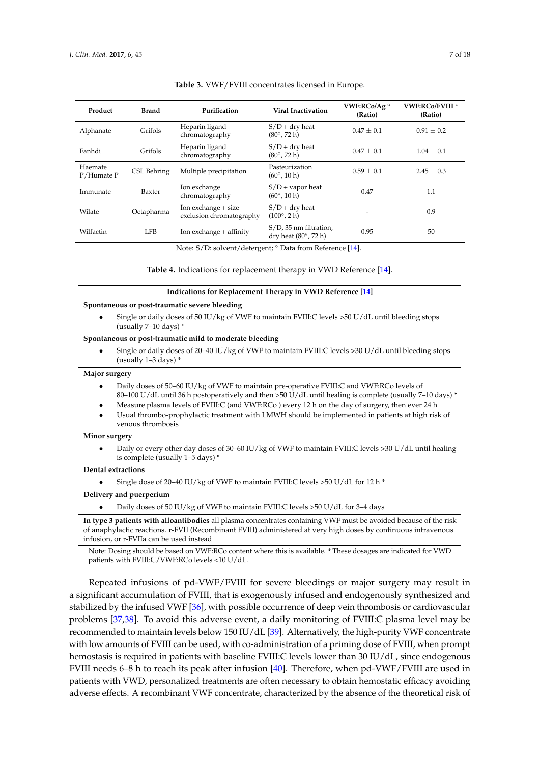<span id="page-6-0"></span>

| Product               | <b>Brand</b> | Purification                                    | Viral Inactivation                                            | VWF:RCo/Ag $^{\circ}$<br>(Ratio) | <b>VWF:RCo/FVIII<sup>o</sup></b><br>(Ratio) |
|-----------------------|--------------|-------------------------------------------------|---------------------------------------------------------------|----------------------------------|---------------------------------------------|
| Alphanate             | Grifols      | Heparin ligand<br>chromatography                | $S/D + dry$ heat<br>$(80^{\circ}, 72 \text{ h})$              | $0.47 + 0.1$                     | $0.91 \pm 0.2$                              |
| Fanhdi                | Grifols      | Heparin ligand<br>chromatography                | $S/D + dry$ heat<br>$(80^{\circ}, 72 \text{ h})$              | $0.47 + 0.1$                     | $1.04 \pm 0.1$                              |
| Haemate<br>P/Humate P | CSL Behring  | Multiple precipitation                          | Pasteurization<br>$(60^{\circ}, 10 \text{ h})$                | $0.59 + 0.1$                     | $2.45 \pm 0.3$                              |
| Immunate              | Baxter       | Ion exchange<br>chromatography                  | $S/D$ + vapor heat<br>$(60^{\circ}, 10 \text{ h})$            | 0.47                             | 1.1                                         |
| Wilate                | Octapharma   | Ion exchange + size<br>exclusion chromatography | $S/D + dry$ heat<br>$(100^{\circ}, 2 h)$                      | ۰                                | 0.9                                         |
| Wilfactin             | LFB.         | Ion exchange + affinity                         | S/D, 35 nm filtration,<br>dry heat $(80^\circ, 72 \text{ h})$ | 0.95                             | 50                                          |
|                       |              |                                                 |                                                               |                                  |                                             |

#### **Table 3.** VWF/FVIII concentrates licensed in Europe.

Note: S/D: solvent/detergent; ◦ Data from Reference [\[14\]](#page-14-13).

#### **Table 4.** Indications for replacement therapy in VWD Reference [\[14\]](#page-14-13).

#### **Indications for Replacement Therapy in VWD Reference [\[14\]](#page-14-13)**

#### <span id="page-6-1"></span>**Spontaneous or post-traumatic severe bleeding**

• Single or daily doses of 50 IU/kg of VWF to maintain FVIII:C levels >50 U/dL until bleeding stops (usually 7–10 days) \*

#### **Spontaneous or post-traumatic mild to moderate bleeding**

• Single or daily doses of 20–40 IU/kg of VWF to maintain FVIII:C levels >30 U/dL until bleeding stops (usually 1–3 days) \*

#### **Major surgery**

- Daily doses of 50–60 IU/kg of VWF to maintain pre-operative FVIII:C and VWF:RCo levels of 80–100 U/dL until 36 h postoperatively and then >50 U/dL until healing is complete (usually 7–10 days) \*
- Measure plasma levels of FVIII:C (and VWF:RCo ) every 12 h on the day of surgery, then ever 24 h
- Usual thrombo-prophylactic treatment with LMWH should be implemented in patients at high risk of venous thrombosis

#### **Minor surgery**

• Daily or every other day doses of 30–60 IU/kg of VWF to maintain FVIII:C levels >30 U/dL until healing is complete (usually 1–5 days) \*

#### **Dental extractions**

• Single dose of 20–40 IU/kg of VWF to maintain FVIII:C levels >50 U/dL for 12 h \*

#### **Delivery and puerperium**

• Daily doses of 50 IU/kg of VWF to maintain FVIII:C levels >50 U/dL for 3–4 days

**In type 3 patients with alloantibodies** all plasma concentrates containing VWF must be avoided because of the risk of anaphylactic reactions. r-FVII (Recombinant FVIII) administered at very high doses by continuous intravenous infusion, or r-FVIIa can be used instead

Note: Dosing should be based on VWF:RCo content where this is available. \* These dosages are indicated for VWD patients with FVIII:C/VWF:RCo levels <10 U/dL.

Repeated infusions of pd-VWF/FVIII for severe bleedings or major surgery may result in a significant accumulation of FVIII, that is exogenously infused and endogenously synthesized and stabilized by the infused VWF [\[36\]](#page-15-12), with possible occurrence of deep vein thrombosis or cardiovascular problems [\[37](#page-15-13)[,38\]](#page-15-14). To avoid this adverse event, a daily monitoring of FVIII:C plasma level may be recommended to maintain levels below 150 IU/dL [\[39\]](#page-15-15). Alternatively, the high-purity VWF concentrate with low amounts of FVIII can be used, with co-administration of a priming dose of FVIII, when prompt hemostasis is required in patients with baseline FVIII:C levels lower than 30 IU/dL, since endogenous FVIII needs 6–8 h to reach its peak after infusion [\[40\]](#page-15-16). Therefore, when pd-VWF/FVIII are used in patients with VWD, personalized treatments are often necessary to obtain hemostatic efficacy avoiding adverse effects. A recombinant VWF concentrate, characterized by the absence of the theoretical risk of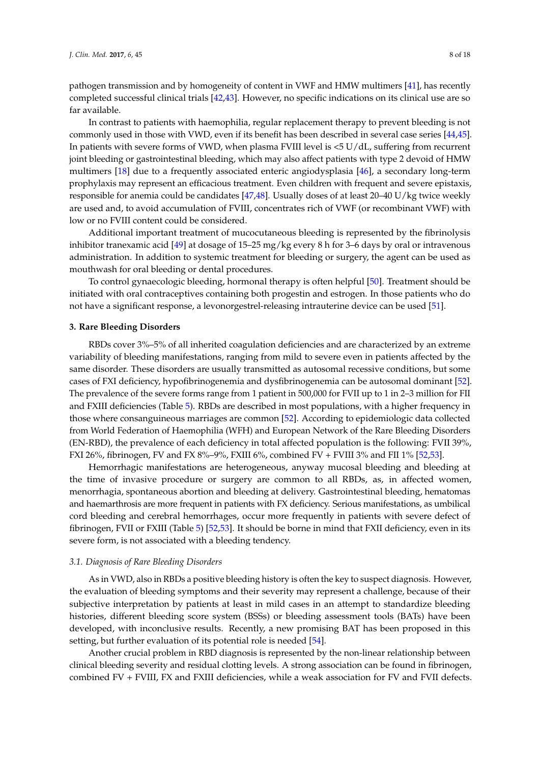pathogen transmission and by homogeneity of content in VWF and HMW multimers [\[41\]](#page-15-17), has recently completed successful clinical trials [\[42](#page-15-18)[,43\]](#page-15-19). However, no specific indications on its clinical use are so far available.

In contrast to patients with haemophilia, regular replacement therapy to prevent bleeding is not commonly used in those with VWD, even if its benefit has been described in several case series [\[44](#page-15-20)[,45\]](#page-15-21). In patients with severe forms of VWD, when plasma FVIII level is <5 U/dL, suffering from recurrent joint bleeding or gastrointestinal bleeding, which may also affect patients with type 2 devoid of HMW multimers [\[18\]](#page-14-17) due to a frequently associated enteric angiodysplasia [\[46\]](#page-15-22), a secondary long-term prophylaxis may represent an efficacious treatment. Even children with frequent and severe epistaxis, responsible for anemia could be candidates [\[47,](#page-16-0)[48\]](#page-16-1). Usually doses of at least 20–40 U/kg twice weekly are used and, to avoid accumulation of FVIII, concentrates rich of VWF (or recombinant VWF) with low or no FVIII content could be considered.

Additional important treatment of mucocutaneous bleeding is represented by the fibrinolysis inhibitor tranexamic acid [\[49\]](#page-16-2) at dosage of 15–25 mg/kg every 8 h for 3–6 days by oral or intravenous administration. In addition to systemic treatment for bleeding or surgery, the agent can be used as mouthwash for oral bleeding or dental procedures.

To control gynaecologic bleeding, hormonal therapy is often helpful [\[50\]](#page-16-3). Treatment should be initiated with oral contraceptives containing both progestin and estrogen. In those patients who do not have a significant response, a levonorgestrel-releasing intrauterine device can be used [\[51\]](#page-16-4).

#### **3. Rare Bleeding Disorders**

RBDs cover 3%–5% of all inherited coagulation deficiencies and are characterized by an extreme variability of bleeding manifestations, ranging from mild to severe even in patients affected by the same disorder. These disorders are usually transmitted as autosomal recessive conditions, but some cases of FXI deficiency, hypofibrinogenemia and dysfibrinogenemia can be autosomal dominant [\[52\]](#page-16-5). The prevalence of the severe forms range from 1 patient in 500,000 for FVII up to 1 in 2–3 million for FII and FXIII deficiencies (Table [5\)](#page-8-0). RBDs are described in most populations, with a higher frequency in those where consanguineous marriages are common [\[52\]](#page-16-5). According to epidemiologic data collected from World Federation of Haemophilia (WFH) and European Network of the Rare Bleeding Disorders (EN-RBD), the prevalence of each deficiency in total affected population is the following: FVII 39%, FXI 26%, fibrinogen, FV and FX 8%–9%, FXIII 6%, combined FV + FVIII 3% and FII 1% [\[52](#page-16-5)[,53\]](#page-16-6).

Hemorrhagic manifestations are heterogeneous, anyway mucosal bleeding and bleeding at the time of invasive procedure or surgery are common to all RBDs, as, in affected women, menorrhagia, spontaneous abortion and bleeding at delivery. Gastrointestinal bleeding, hematomas and haemarthrosis are more frequent in patients with FX deficiency. Serious manifestations, as umbilical cord bleeding and cerebral hemorrhages, occur more frequently in patients with severe defect of fibrinogen, FVII or FXIII (Table [5\)](#page-8-0) [\[52](#page-16-5)[,53\]](#page-16-6). It should be borne in mind that FXII deficiency, even in its severe form, is not associated with a bleeding tendency.

## *3.1. Diagnosis of Rare Bleeding Disorders*

As in VWD, also in RBDs a positive bleeding history is often the key to suspect diagnosis. However, the evaluation of bleeding symptoms and their severity may represent a challenge, because of their subjective interpretation by patients at least in mild cases in an attempt to standardize bleeding histories, different bleeding score system (BSSs) or bleeding assessment tools (BATs) have been developed, with inconclusive results. Recently, a new promising BAT has been proposed in this setting, but further evaluation of its potential role is needed [\[54\]](#page-16-7).

Another crucial problem in RBD diagnosis is represented by the non-linear relationship between clinical bleeding severity and residual clotting levels. A strong association can be found in fibrinogen, combined FV + FVIII, FX and FXIII deficiencies, while a weak association for FV and FVII defects.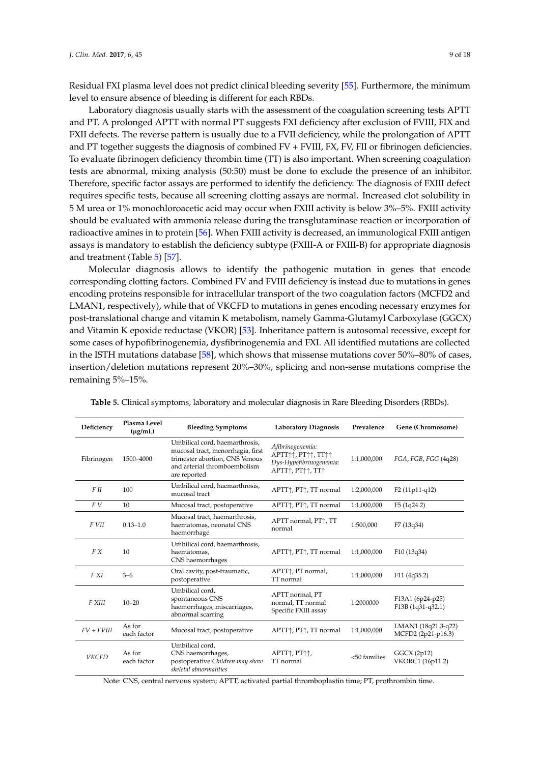Residual FXI plasma level does not predict clinical bleeding severity [\[55\]](#page-16-8). Furthermore, the minimum level to ensure absence of bleeding is different for each RBDs.

Laboratory diagnosis usually starts with the assessment of the coagulation screening tests APTT and PT. A prolonged APTT with normal PT suggests FXI deficiency after exclusion of FVIII, FIX and FXII defects. The reverse pattern is usually due to a FVII deficiency, while the prolongation of APTT and PT together suggests the diagnosis of combined FV + FVIII, FX, FV, FII or fibrinogen deficiencies. To evaluate fibrinogen deficiency thrombin time (TT) is also important. When screening coagulation tests are abnormal, mixing analysis (50:50) must be done to exclude the presence of an inhibitor. Therefore, specific factor assays are performed to identify the deficiency. The diagnosis of FXIII defect requires specific tests, because all screening clotting assays are normal. Increased clot solubility in 5 M urea or 1% monochloroacetic acid may occur when FXIII activity is below 3%–5%. FXIII activity should be evaluated with ammonia release during the transglutaminase reaction or incorporation of radioactive amines in to protein [\[56\]](#page-16-9). When FXIII activity is decreased, an immunological FXIII antigen assays is mandatory to establish the deficiency subtype (FXIII-A or FXIII-B) for appropriate diagnosis and treatment (Table [5\)](#page-8-0) [\[57\]](#page-16-10).

Molecular diagnosis allows to identify the pathogenic mutation in genes that encode corresponding clotting factors. Combined FV and FVIII deficiency is instead due to mutations in genes encoding proteins responsible for intracellular transport of the two coagulation factors (MCFD2 and LMAN1, respectively), while that of VKCFD to mutations in genes encoding necessary enzymes for post-translational change and vitamin K metabolism, namely Gamma-Glutamyl Carboxylase (GGCX) and Vitamin K epoxide reductase (VKOR) [\[53\]](#page-16-6). Inheritance pattern is autosomal recessive, except for some cases of hypofibrinogenemia, dysfibrinogenemia and FXI. All identified mutations are collected in the ISTH mutations database [\[58\]](#page-16-11), which shows that missense mutations cover 50%–80% of cases, insertion/deletion mutations represent 20%–30%, splicing and non-sense mutations comprise the remaining 5%–15%.

| Deficiency   | Plasma Level<br>$(\mu$ g/mL) | <b>Bleeding Symptoms</b>                                                                                                                              | <b>Laboratory Diagnosis</b>                                                                                                                                      | Prevalence   | Gene (Chromosome)                         |
|--------------|------------------------------|-------------------------------------------------------------------------------------------------------------------------------------------------------|------------------------------------------------------------------------------------------------------------------------------------------------------------------|--------------|-------------------------------------------|
| Fibrinogen   | 1500-4000                    | Umbilical cord, haemarthrosis,<br>mucosal tract, menorrhagia, first<br>trimester abortion, CNS Venous<br>and arterial thromboembolism<br>are reported | Afibrinogenemia:<br>APTT <sub>1</sub> , PT <sub>11</sub> , TT <sub>11</sub><br>Dys-Hypofibrinogenemia:<br>APTT <sub>1</sub> , PT <sup>1</sup> 1, TT <sup>1</sup> | 1:1,000,000  | FGA, FGB, FGG (4q28)                      |
| FII          | 100                          | Umbilical cord, haemarthrosis,<br>mucosal tract                                                                                                       | APTT $\uparrow$ , PT $\uparrow$ , TT normal                                                                                                                      | 1:2,000,000  | $F2(11p11-q12)$                           |
| F V          | 10                           | Mucosal tract, postoperative                                                                                                                          | APTT $\uparrow$ , PT $\uparrow$ , TT normal                                                                                                                      | 1:1,000,000  | F5(1q24.2)                                |
| F VII        | $0.13 - 1.0$                 | Mucosal tract, haemarthrosis,<br>haematomas, neonatal CNS<br>haemorrhage                                                                              | APTT normal, PT+, TT<br>normal                                                                                                                                   | 1:500,000    | F7 (13q34)                                |
| F X          | 10                           | Umbilical cord, haemarthrosis,<br>haematomas,<br>CNS haemorrhages                                                                                     | APTT $\uparrow$ , PT $\uparrow$ , TT normal                                                                                                                      | 1:1,000,000  | F10(13q34)                                |
| F XI         | $3 - 6$                      | Oral cavity, post-traumatic,<br>postoperative                                                                                                         | APTT $\uparrow$ , PT normal,<br>TT normal                                                                                                                        | 1:1,000,000  | F11(4q35.2)                               |
| F XIII       | $10 - 20$                    | Umbilical cord.<br>spontaneous CNS<br>haemorrhages, miscarriages,<br>abnormal scarring                                                                | APTT normal, PT<br>normal. TT normal<br>Specific FXIII assay                                                                                                     | 1:2000000    | F13A1 (6p24-p25)<br>F13B (1q31-q32.1)     |
| $FV + FVIII$ | As for<br>each factor        | Mucosal tract, postoperative                                                                                                                          | APTT $\uparrow$ , PT $\uparrow$ , TT normal                                                                                                                      | 1:1,000,000  | LMAN1 (18q21.3-q22)<br>MCFD2 (2p21-p16.3) |
| <b>VKCFD</b> | As for<br>each factor        | Umbilical cord,<br>CNS haemorrhages,<br>postoperative Children may show<br>skeletal abnormalities                                                     | APTT <sub>1</sub> , PT <sup>++</sup> ,<br>TT normal                                                                                                              | <50 families | GGCX(2p12)<br>VKORC1 (16p11.2)            |

<span id="page-8-0"></span>**Table 5.** Clinical symptoms, laboratory and molecular diagnosis in Rare Bleeding Disorders (RBDs).

Note: CNS, central nervous system; APTT, activated partial thromboplastin time; PT, prothrombin time.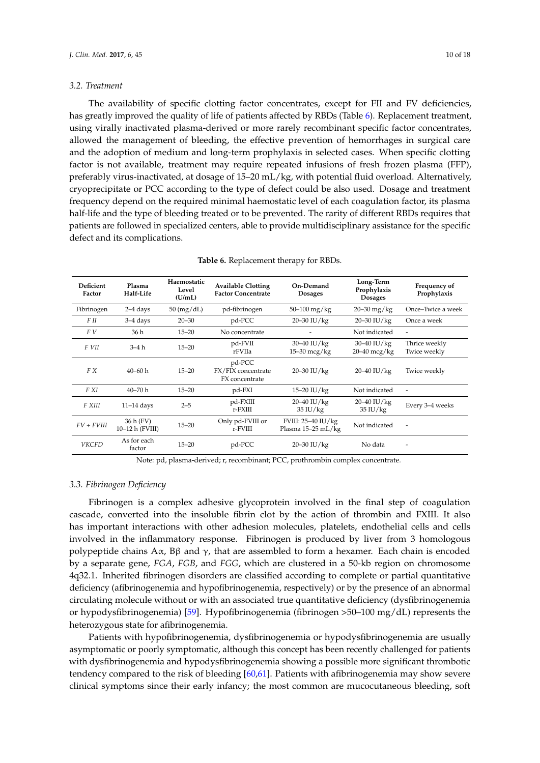### *3.2. Treatment*

The availability of specific clotting factor concentrates, except for FII and FV deficiencies, has greatly improved the quality of life of patients affected by RBDs (Table [6\)](#page-9-0). Replacement treatment, using virally inactivated plasma-derived or more rarely recombinant specific factor concentrates, allowed the management of bleeding, the effective prevention of hemorrhages in surgical care and the adoption of medium and long-term prophylaxis in selected cases. When specific clotting factor is not available, treatment may require repeated infusions of fresh frozen plasma (FFP), preferably virus-inactivated, at dosage of 15–20 mL/kg, with potential fluid overload. Alternatively, cryoprecipitate or PCC according to the type of defect could be also used. Dosage and treatment frequency depend on the required minimal haemostatic level of each coagulation factor, its plasma half-life and the type of bleeding treated or to be prevented. The rarity of different RBDs requires that patients are followed in specialized centers, able to provide multidisciplinary assistance for the specific defect and its complications.

<span id="page-9-0"></span>

| Deficient<br>Factor | Plasma<br>Half-Life          | Haemostatic<br>Level<br>(U/mL) | <b>Available Clotting</b><br><b>Factor Concentrate</b> | On-Demand<br><b>Dosages</b>              | Long-Term<br>Prophylaxis<br><b>Dosages</b> | Frequency of<br>Prophylaxis   |
|---------------------|------------------------------|--------------------------------|--------------------------------------------------------|------------------------------------------|--------------------------------------------|-------------------------------|
| Fibrinogen          | $2-4$ days                   | $50 \text{ (mg/dL)}$           | pd-fibrinogen                                          | $50 - 100$ mg/kg                         | $20 - 30$ mg/kg                            | Once-Twice a week             |
| F II                | $3-4$ days                   | $20 - 30$                      | pd-PCC                                                 | $20 - 30$ IU/kg                          | $20 - 30$ IU/kg                            | Once a week                   |
| F V                 | 36 h                         | $15 - 20$                      | No concentrate                                         |                                          | Not indicated                              | $\overline{\phantom{a}}$      |
| F VII               | $3-4h$                       | $15 - 20$                      | pd-FVII<br>rFVIIa                                      | $30 - 40$ IU/kg<br>$15-30$ mcg/kg        | $30 - 40$ IU/kg<br>$20-40$ mcg/kg          | Thrice weekly<br>Twice weekly |
| F X                 | $40 - 60h$                   | $15 - 20$                      | pd-PCC<br>FX/FIX concentrate<br>FX concentrate         | 20-30 IU/kg                              | $20 - 40$ IU/kg                            | Twice weekly                  |
| F XI                | $40 - 70h$                   | $15 - 20$                      | pd-FXI                                                 | $15 - 20$ IU/kg                          | Not indicated                              | $\overline{\phantom{a}}$      |
| F XIII              | $11-14$ days                 | $2 - 5$                        | pd-FXIII<br>r-FXIII                                    | $20 - 40$ IU/kg<br>$35 \text{ IU/kg}$    | $20 - 40$ IU/kg<br>$35 \text{ IU/kg}$      | Every 3-4 weeks               |
| $FV + FVIII$        | 36 h (FV)<br>10–12 h (FVIII) | $15 - 20$                      | Only pd-FVIII or<br>r-FVIII                            | FVIII: 25-40 IU/kg<br>Plasma 15-25 mL/kg | Not indicated                              |                               |
| <b>VKCFD</b>        | As for each<br>factor        | $15 - 20$                      | pd-PCC                                                 | $20 - 30$ IU/kg                          | No data                                    |                               |

**Table 6.** Replacement therapy for RBDs.

Note: pd, plasma-derived; r, recombinant; PCC, prothrombin complex concentrate.

#### *3.3. Fibrinogen Deficiency*

Fibrinogen is a complex adhesive glycoprotein involved in the final step of coagulation cascade, converted into the insoluble fibrin clot by the action of thrombin and FXIII. It also has important interactions with other adhesion molecules, platelets, endothelial cells and cells involved in the inflammatory response. Fibrinogen is produced by liver from 3 homologous polypeptide chains Aα, Bβ and  $γ$ , that are assembled to form a hexamer. Each chain is encoded by a separate gene, *FGA*, *FGB*, and *FGG*, which are clustered in a 50-kb region on chromosome 4q32.1. Inherited fibrinogen disorders are classified according to complete or partial quantitative deficiency (afibrinogenemia and hypofibrinogenemia, respectively) or by the presence of an abnormal circulating molecule without or with an associated true quantitative deficiency (dysfibrinogenemia or hypodysfibrinogenemia) [\[59\]](#page-16-12). Hypofibrinogenemia (fibrinogen >50–100 mg/dL) represents the heterozygous state for afibrinogenemia.

Patients with hypofibrinogenemia, dysfibrinogenemia or hypodysfibrinogenemia are usually asymptomatic or poorly symptomatic, although this concept has been recently challenged for patients with dysfibrinogenemia and hypodysfibrinogenemia showing a possible more significant thrombotic tendency compared to the risk of bleeding [\[60](#page-16-13)[,61\]](#page-16-14). Patients with afibrinogenemia may show severe clinical symptoms since their early infancy; the most common are mucocutaneous bleeding, soft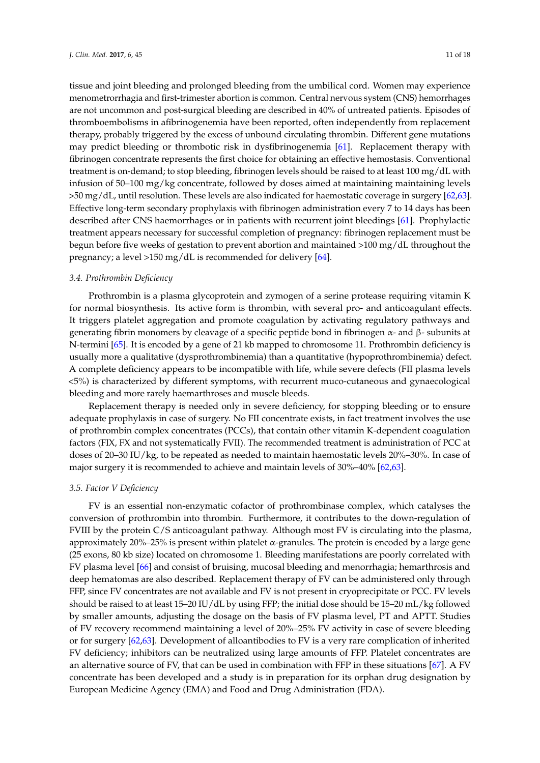tissue and joint bleeding and prolonged bleeding from the umbilical cord. Women may experience menometrorrhagia and first-trimester abortion is common. Central nervous system (CNS) hemorrhages are not uncommon and post-surgical bleeding are described in 40% of untreated patients. Episodes of thromboembolisms in afibrinogenemia have been reported, often independently from replacement therapy, probably triggered by the excess of unbound circulating thrombin. Different gene mutations may predict bleeding or thrombotic risk in dysfibrinogenemia [\[61\]](#page-16-14). Replacement therapy with fibrinogen concentrate represents the first choice for obtaining an effective hemostasis. Conventional treatment is on-demand; to stop bleeding, fibrinogen levels should be raised to at least 100 mg/dL with infusion of 50–100 mg/kg concentrate, followed by doses aimed at maintaining maintaining levels >50 mg/dL, until resolution. These levels are also indicated for haemostatic coverage in surgery [\[62](#page-16-15)[,63\]](#page-16-16). Effective long-term secondary prophylaxis with fibrinogen administration every 7 to 14 days has been described after CNS haemorrhages or in patients with recurrent joint bleedings [\[61\]](#page-16-14). Prophylactic treatment appears necessary for successful completion of pregnancy: fibrinogen replacement must be begun before five weeks of gestation to prevent abortion and maintained >100 mg/dL throughout the pregnancy; a level >150 mg/dL is recommended for delivery [\[64\]](#page-16-17).

#### *3.4. Prothrombin Deficiency*

Prothrombin is a plasma glycoprotein and zymogen of a serine protease requiring vitamin K for normal biosynthesis. Its active form is thrombin, with several pro- and anticoagulant effects. It triggers platelet aggregation and promote coagulation by activating regulatory pathways and generating fibrin monomers by cleavage of a specific peptide bond in fibrinogen α- and β- subunits at N-termini [\[65\]](#page-16-18). It is encoded by a gene of 21 kb mapped to chromosome 11. Prothrombin deficiency is usually more a qualitative (dysprothrombinemia) than a quantitative (hypoprothrombinemia) defect. A complete deficiency appears to be incompatible with life, while severe defects (FII plasma levels <5%) is characterized by different symptoms, with recurrent muco-cutaneous and gynaecological bleeding and more rarely haemarthroses and muscle bleeds.

Replacement therapy is needed only in severe deficiency, for stopping bleeding or to ensure adequate prophylaxis in case of surgery. No FII concentrate exists, in fact treatment involves the use of prothrombin complex concentrates (PCCs), that contain other vitamin K-dependent coagulation factors (FIX, FX and not systematically FVII). The recommended treatment is administration of PCC at doses of 20–30 IU/kg, to be repeated as needed to maintain haemostatic levels 20%–30%. In case of major surgery it is recommended to achieve and maintain levels of 30%–40% [\[62,](#page-16-15)[63\]](#page-16-16).

#### *3.5. Factor V Deficiency*

FV is an essential non-enzymatic cofactor of prothrombinase complex, which catalyses the conversion of prothrombin into thrombin. Furthermore, it contributes to the down-regulation of FVIII by the protein C/S anticoagulant pathway. Although most FV is circulating into the plasma, approximately 20%–25% is present within platelet  $\alpha$ -granules. The protein is encoded by a large gene (25 exons, 80 kb size) located on chromosome 1. Bleeding manifestations are poorly correlated with FV plasma level [\[66\]](#page-16-19) and consist of bruising, mucosal bleeding and menorrhagia; hemarthrosis and deep hematomas are also described. Replacement therapy of FV can be administered only through FFP, since FV concentrates are not available and FV is not present in cryoprecipitate or PCC. FV levels should be raised to at least 15–20 IU/dL by using FFP; the initial dose should be 15–20 mL/kg followed by smaller amounts, adjusting the dosage on the basis of FV plasma level, PT and APTT. Studies of FV recovery recommend maintaining a level of 20%–25% FV activity in case of severe bleeding or for surgery [\[62,](#page-16-15)[63\]](#page-16-16). Development of alloantibodies to FV is a very rare complication of inherited FV deficiency; inhibitors can be neutralized using large amounts of FFP. Platelet concentrates are an alternative source of FV, that can be used in combination with FFP in these situations [\[67\]](#page-16-20). A FV concentrate has been developed and a study is in preparation for its orphan drug designation by European Medicine Agency (EMA) and Food and Drug Administration (FDA).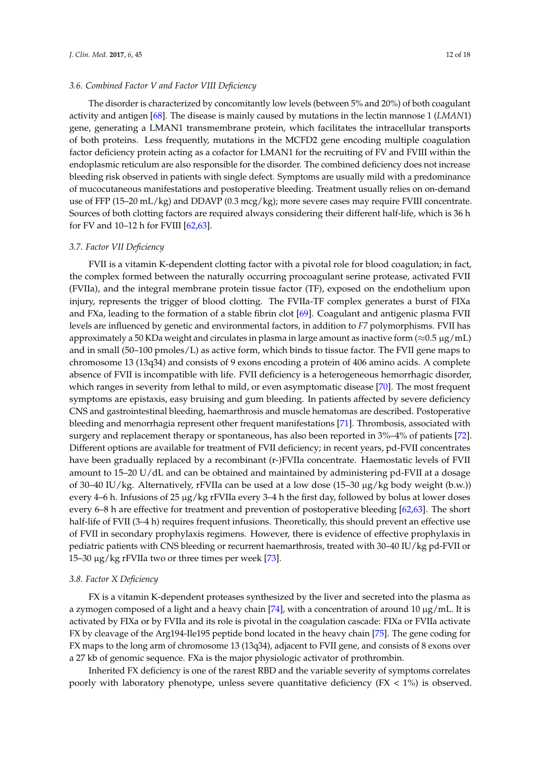The disorder is characterized by concomitantly low levels (between 5% and 20%) of both coagulant

activity and antigen [\[68\]](#page-16-21). The disease is mainly caused by mutations in the lectin mannose 1 (*LMAN*1) gene, generating a LMAN1 transmembrane protein, which facilitates the intracellular transports of both proteins. Less frequently, mutations in the MCFD2 gene encoding multiple coagulation factor deficiency protein acting as a cofactor for LMAN1 for the recruiting of FV and FVIII within the endoplasmic reticulum are also responsible for the disorder. The combined deficiency does not increase bleeding risk observed in patients with single defect. Symptoms are usually mild with a predominance of mucocutaneous manifestations and postoperative bleeding. Treatment usually relies on on-demand use of FFP (15–20 mL/kg) and DDAVP (0.3 mcg/kg); more severe cases may require FVIII concentrate. Sources of both clotting factors are required always considering their different half-life, which is 36 h for FV and 10–12 h for FVIII [\[62,](#page-16-15)[63\]](#page-16-16).

# *3.7. Factor VII Deficiency*

FVII is a vitamin K-dependent clotting factor with a pivotal role for blood coagulation; in fact, the complex formed between the naturally occurring procoagulant serine protease, activated FVII (FVIIa), and the integral membrane protein tissue factor (TF), exposed on the endothelium upon injury, represents the trigger of blood clotting. The FVIIa-TF complex generates a burst of FIXa and FXa, leading to the formation of a stable fibrin clot [\[69\]](#page-16-22). Coagulant and antigenic plasma FVII levels are influenced by genetic and environmental factors, in addition to *F7* polymorphisms. FVII has approximately a 50 KDa weight and circulates in plasma in large amount as inactive form ( $\approx$ 0.5 µg/mL) and in small (50–100 pmoles/L) as active form, which binds to tissue factor. The FVII gene maps to chromosome 13 (13q34) and consists of 9 exons encoding a protein of 406 amino acids. A complete absence of FVII is incompatible with life. FVII deficiency is a heterogeneous hemorrhagic disorder, which ranges in severity from lethal to mild, or even asymptomatic disease [\[70\]](#page-16-23). The most frequent symptoms are epistaxis, easy bruising and gum bleeding. In patients affected by severe deficiency CNS and gastrointestinal bleeding, haemarthrosis and muscle hematomas are described. Postoperative bleeding and menorrhagia represent other frequent manifestations [\[71\]](#page-16-24). Thrombosis, associated with surgery and replacement therapy or spontaneous, has also been reported in 3%–4% of patients [\[72\]](#page-17-0). Different options are available for treatment of FVII deficiency; in recent years, pd-FVII concentrates have been gradually replaced by a recombinant (r-)FVIIa concentrate. Haemostatic levels of FVII amount to 15–20 U/dL and can be obtained and maintained by administering pd-FVII at a dosage of 30–40 IU/kg. Alternatively, rFVIIa can be used at a low dose (15–30 µg/kg body weight (b.w.)) every 4–6 h. Infusions of 25 µg/kg rFVIIa every 3–4 h the first day, followed by bolus at lower doses every 6–8 h are effective for treatment and prevention of postoperative bleeding [\[62](#page-16-15)[,63\]](#page-16-16). The short half-life of FVII (3–4 h) requires frequent infusions. Theoretically, this should prevent an effective use of FVII in secondary prophylaxis regimens. However, there is evidence of effective prophylaxis in pediatric patients with CNS bleeding or recurrent haemarthrosis, treated with 30–40 IU/kg pd-FVII or 15–30 µg/kg rFVIIa two or three times per week [\[73\]](#page-17-1).

## *3.8. Factor X Deficiency*

FX is a vitamin K-dependent proteases synthesized by the liver and secreted into the plasma as a zymogen composed of a light and a heavy chain  $[74]$ , with a concentration of around 10  $\mu$ g/mL. It is activated by FIXa or by FVIIa and its role is pivotal in the coagulation cascade: FIXa or FVIIa activate FX by cleavage of the Arg194-Ile195 peptide bond located in the heavy chain [\[75\]](#page-17-3). The gene coding for FX maps to the long arm of chromosome 13 (13q34), adjacent to FVII gene, and consists of 8 exons over a 27 kb of genomic sequence. FXa is the major physiologic activator of prothrombin.

Inherited FX deficiency is one of the rarest RBD and the variable severity of symptoms correlates poorly with laboratory phenotype, unless severe quantitative deficiency  $(FX < 1\%)$  is observed.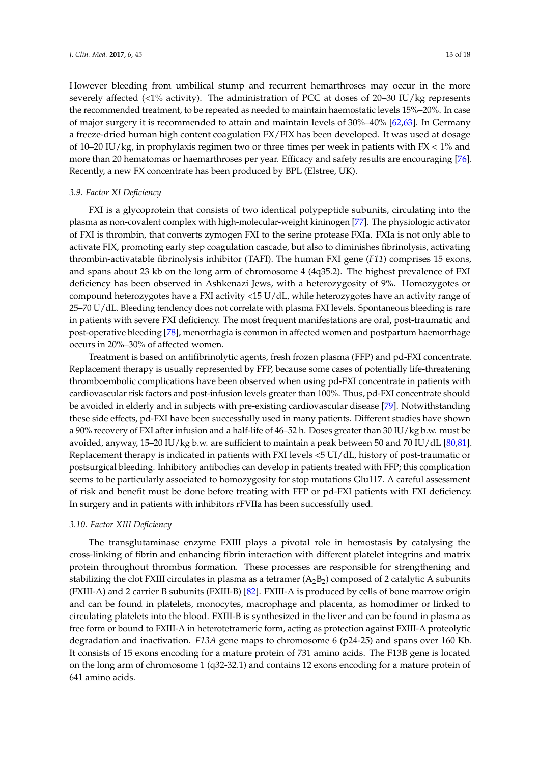However bleeding from umbilical stump and recurrent hemarthroses may occur in the more severely affected (<1% activity). The administration of PCC at doses of 20–30 IU/kg represents the recommended treatment, to be repeated as needed to maintain haemostatic levels 15%–20%. In case of major surgery it is recommended to attain and maintain levels of 30%–40% [\[62](#page-16-15)[,63\]](#page-16-16). In Germany a freeze-dried human high content coagulation FX/FIX has been developed. It was used at dosage of 10–20 IU/kg, in prophylaxis regimen two or three times per week in patients with  $FX < 1\%$  and more than 20 hematomas or haemarthroses per year. Efficacy and safety results are encouraging [\[76\]](#page-17-4). Recently, a new FX concentrate has been produced by BPL (Elstree, UK).

# *3.9. Factor XI Deficiency*

FXI is a glycoprotein that consists of two identical polypeptide subunits, circulating into the plasma as non-covalent complex with high-molecular-weight kininogen [\[77\]](#page-17-5). The physiologic activator of FXI is thrombin, that converts zymogen FXI to the serine protease FXIa. FXIa is not only able to activate FIX, promoting early step coagulation cascade, but also to diminishes fibrinolysis, activating thrombin-activatable fibrinolysis inhibitor (TAFI). The human FXI gene (*F11*) comprises 15 exons, and spans about 23 kb on the long arm of chromosome 4 (4q35.2). The highest prevalence of FXI deficiency has been observed in Ashkenazi Jews, with a heterozygosity of 9%. Homozygotes or compound heterozygotes have a FXI activity <15 U/dL, while heterozygotes have an activity range of 25–70 U/dL. Bleeding tendency does not correlate with plasma FXI levels. Spontaneous bleeding is rare in patients with severe FXI deficiency. The most frequent manifestations are oral, post-traumatic and post-operative bleeding [\[78\]](#page-17-6), menorrhagia is common in affected women and postpartum haemorrhage occurs in 20%–30% of affected women.

Treatment is based on antifibrinolytic agents, fresh frozen plasma (FFP) and pd-FXI concentrate. Replacement therapy is usually represented by FFP, because some cases of potentially life-threatening thromboembolic complications have been observed when using pd-FXI concentrate in patients with cardiovascular risk factors and post-infusion levels greater than 100%. Thus, pd-FXI concentrate should be avoided in elderly and in subjects with pre-existing cardiovascular disease [\[79\]](#page-17-7). Notwithstanding these side effects, pd-FXI have been successfully used in many patients. Different studies have shown a 90% recovery of FXI after infusion and a half-life of 46–52 h. Doses greater than 30 IU/kg b.w. must be avoided, anyway, 15–20 IU/kg b.w. are sufficient to maintain a peak between 50 and 70 IU/dL [\[80](#page-17-8)[,81\]](#page-17-9). Replacement therapy is indicated in patients with FXI levels <5 UI/dL, history of post-traumatic or postsurgical bleeding. Inhibitory antibodies can develop in patients treated with FFP; this complication seems to be particularly associated to homozygosity for stop mutations Glu117. A careful assessment of risk and benefit must be done before treating with FFP or pd-FXI patients with FXI deficiency. In surgery and in patients with inhibitors rFVIIa has been successfully used.

#### *3.10. Factor XIII Deficiency*

The transglutaminase enzyme FXIII plays a pivotal role in hemostasis by catalysing the cross-linking of fibrin and enhancing fibrin interaction with different platelet integrins and matrix protein throughout thrombus formation. These processes are responsible for strengthening and stabilizing the clot FXIII circulates in plasma as a tetramer  $(A_2B_2)$  composed of 2 catalytic A subunits (FXIII-A) and 2 carrier B subunits (FXIII-B) [\[82\]](#page-17-10). FXIII-A is produced by cells of bone marrow origin and can be found in platelets, monocytes, macrophage and placenta, as homodimer or linked to circulating platelets into the blood. FXIII-B is synthesized in the liver and can be found in plasma as free form or bound to FXIII-A in heterotetrameric form, acting as protection against FXIII-A proteolytic degradation and inactivation. *F13A* gene maps to chromosome 6 (p24-25) and spans over 160 Kb. It consists of 15 exons encoding for a mature protein of 731 amino acids. The F13B gene is located on the long arm of chromosome 1 (q32-32.1) and contains 12 exons encoding for a mature protein of 641 amino acids.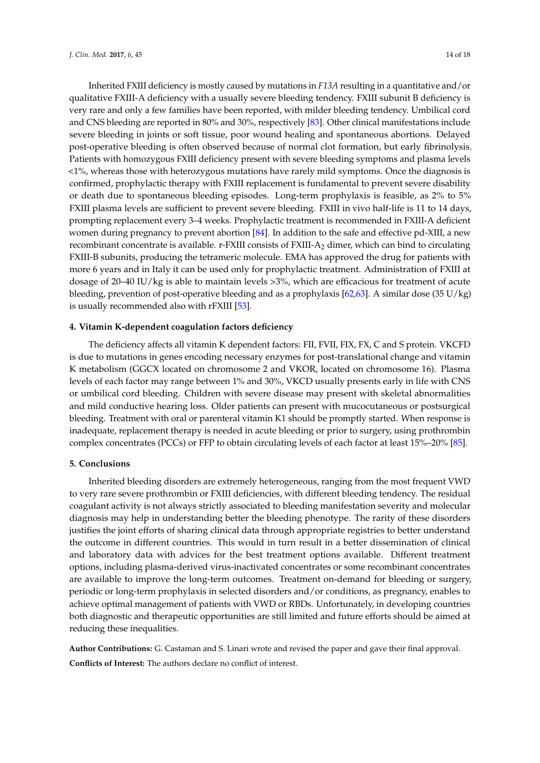Inherited FXIII deficiency is mostly caused by mutations in *F13A* resulting in a quantitative and/or qualitative FXIII-A deficiency with a usually severe bleeding tendency. FXIII subunit B deficiency is very rare and only a few families have been reported, with milder bleeding tendency. Umbilical cord and CNS bleeding are reported in 80% and 30%, respectively [\[83\]](#page-17-11). Other clinical manifestations include severe bleeding in joints or soft tissue, poor wound healing and spontaneous abortions. Delayed post-operative bleeding is often observed because of normal clot formation, but early fibrinolysis. Patients with homozygous FXIII deficiency present with severe bleeding symptoms and plasma levels <1%, whereas those with heterozygous mutations have rarely mild symptoms. Once the diagnosis is confirmed, prophylactic therapy with FXIII replacement is fundamental to prevent severe disability or death due to spontaneous bleeding episodes. Long-term prophylaxis is feasible, as 2% to 5% FXIII plasma levels are sufficient to prevent severe bleeding. FXIII in vivo half-life is 11 to 14 days, prompting replacement every 3–4 weeks. Prophylactic treatment is recommended in FXIII-A deficient women during pregnancy to prevent abortion [\[84\]](#page-17-12). In addition to the safe and effective pd-XIII, a new recombinant concentrate is available. r-FXIII consists of FXIII-A<sup>2</sup> dimer, which can bind to circulating FXIII-B subunits, producing the tetrameric molecule. EMA has approved the drug for patients with more 6 years and in Italy it can be used only for prophylactic treatment. Administration of FXIII at dosage of 20–40 IU/kg is able to maintain levels >3%, which are efficacious for treatment of acute bleeding, prevention of post-operative bleeding and as a prophylaxis [\[62,](#page-16-15)[63\]](#page-16-16). A similar dose (35 U/kg) is usually recommended also with rFXIII [\[53\]](#page-16-6).

#### **4. Vitamin K-dependent coagulation factors deficiency**

The deficiency affects all vitamin K dependent factors: FII, FVII, FIX, FX, C and S protein. VKCFD is due to mutations in genes encoding necessary enzymes for post-translational change and vitamin K metabolism (GGCX located on chromosome 2 and VKOR, located on chromosome 16). Plasma levels of each factor may range between 1% and 30%, VKCD usually presents early in life with CNS or umbilical cord bleeding. Children with severe disease may present with skeletal abnormalities and mild conductive hearing loss. Older patients can present with mucocutaneous or postsurgical bleeding. Treatment with oral or parenteral vitamin K1 should be promptly started. When response is inadequate, replacement therapy is needed in acute bleeding or prior to surgery, using prothrombin complex concentrates (PCCs) or FFP to obtain circulating levels of each factor at least 15%–20% [\[85\]](#page-17-13).

# **5. Conclusions**

Inherited bleeding disorders are extremely heterogeneous, ranging from the most frequent VWD to very rare severe prothrombin or FXIII deficiencies, with different bleeding tendency. The residual coagulant activity is not always strictly associated to bleeding manifestation severity and molecular diagnosis may help in understanding better the bleeding phenotype. The rarity of these disorders justifies the joint efforts of sharing clinical data through appropriate registries to better understand the outcome in different countries. This would in turn result in a better dissemination of clinical and laboratory data with advices for the best treatment options available. Different treatment options, including plasma-derived virus-inactivated concentrates or some recombinant concentrates are available to improve the long-term outcomes. Treatment on-demand for bleeding or surgery, periodic or long-term prophylaxis in selected disorders and/or conditions, as pregnancy, enables to achieve optimal management of patients with VWD or RBDs. Unfortunately, in developing countries both diagnostic and therapeutic opportunities are still limited and future efforts should be aimed at reducing these inequalities.

**Author Contributions:** G. Castaman and S. Linari wrote and revised the paper and gave their final approval. **Conflicts of Interest:** The authors declare no conflict of interest.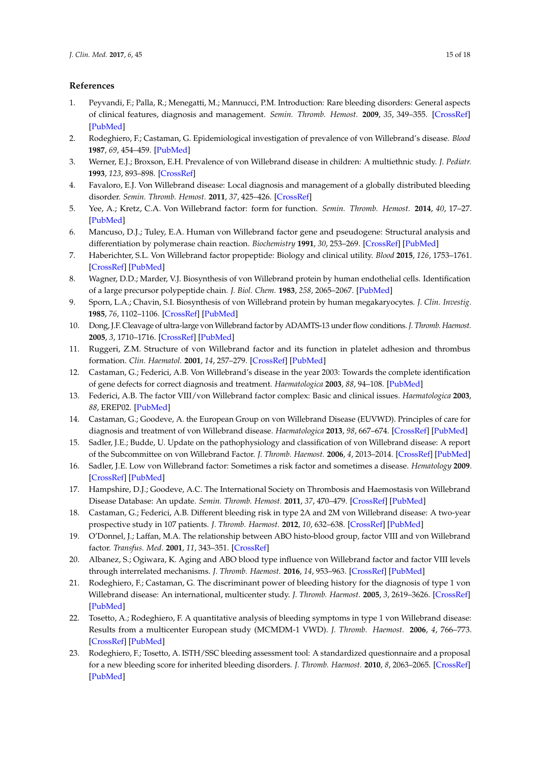# **References**

- <span id="page-14-0"></span>1. Peyvandi, F.; Palla, R.; Menegatti, M.; Mannucci, P.M. Introduction: Rare bleeding disorders: General aspects of clinical features, diagnosis and management. *Semin. Thromb. Hemost.* **2009**, *35*, 349–355. [\[CrossRef\]](http://dx.doi.org/10.1055/s-0029-1225757) [\[PubMed\]](http://www.ncbi.nlm.nih.gov/pubmed/19598063)
- <span id="page-14-1"></span>2. Rodeghiero, F.; Castaman, G. Epidemiological investigation of prevalence of von Willebrand's disease. *Blood* **1987**, *69*, 454–459. [\[PubMed\]](http://www.ncbi.nlm.nih.gov/pubmed/3492222)
- <span id="page-14-2"></span>3. Werner, E.J.; Broxson, E.H. Prevalence of von Willebrand disease in children: A multiethnic study. *J. Pediatr.* **1993**, *123*, 893–898. [\[CrossRef\]](http://dx.doi.org/10.1016/S0022-3476(05)80384-1)
- <span id="page-14-23"></span><span id="page-14-3"></span>4. Favaloro, E.J. Von Willebrand disease: Local diagnosis and management of a globally distributed bleeding disorder. *Semin. Thromb. Hemost.* **2011**, *37*, 425–426. [\[CrossRef\]](http://dx.doi.org/10.1055/s-0031-1280567)
- <span id="page-14-4"></span>5. Yee, A.; Kretz, C.A. Von Willebrand factor: form for function. *Semin. Thromb. Hemost.* **2014**, *40*, 17–27. [\[PubMed\]](http://www.ncbi.nlm.nih.gov/pubmed/24338608)
- <span id="page-14-5"></span>6. Mancuso, D.J.; Tuley, E.A. Human von Willebrand factor gene and pseudogene: Structural analysis and differentiation by polymerase chain reaction. *Biochemistry* **1991**, *30*, 253–269. [\[CrossRef\]](http://dx.doi.org/10.1021/bi00215a036) [\[PubMed\]](http://www.ncbi.nlm.nih.gov/pubmed/1988024)
- <span id="page-14-6"></span>7. Haberichter, S.L. Von Willebrand factor propeptide: Biology and clinical utility. *Blood* **2015**, *126*, 1753–1761. [\[CrossRef\]](http://dx.doi.org/10.1182/blood-2015-04-512731) [\[PubMed\]](http://www.ncbi.nlm.nih.gov/pubmed/26215113)
- <span id="page-14-7"></span>8. Wagner, D.D.; Marder, V.J. Biosynthesis of von Willebrand protein by human endothelial cells. Identification of a large precursor polypeptide chain. *J. Biol. Chem.* **1983**, *258*, 2065–2067. [\[PubMed\]](http://www.ncbi.nlm.nih.gov/pubmed/6600453)
- <span id="page-14-8"></span>9. Sporn, L.A.; Chavin, S.I. Biosynthesis of von Willebrand protein by human megakaryocytes. *J. Clin. Investig.* **1985**, *76*, 1102–1106. [\[CrossRef\]](http://dx.doi.org/10.1172/JCI112064) [\[PubMed\]](http://www.ncbi.nlm.nih.gov/pubmed/2413071)
- <span id="page-14-9"></span>10. Dong, J.F. Cleavage of ultra-large von Willebrand factor by ADAMTS-13 under flow conditions. *J. Thromb. Haemost.* **2005**, *3*, 1710–1716. [\[CrossRef\]](http://dx.doi.org/10.1111/j.1538-7836.2005.01360.x) [\[PubMed\]](http://www.ncbi.nlm.nih.gov/pubmed/16102037)
- <span id="page-14-10"></span>11. Ruggeri, Z.M. Structure of von Willebrand factor and its function in platelet adhesion and thrombus formation. *Clin. Haematol.* **2001**, *14*, 257–279. [\[CrossRef\]](http://dx.doi.org/10.1053/beha.2001.0133) [\[PubMed\]](http://www.ncbi.nlm.nih.gov/pubmed/11686099)
- <span id="page-14-11"></span>12. Castaman, G.; Federici, A.B. Von Willebrand's disease in the year 2003: Towards the complete identification of gene defects for correct diagnosis and treatment. *Haematologica* **2003**, *88*, 94–108. [\[PubMed\]](http://www.ncbi.nlm.nih.gov/pubmed/12551832)
- <span id="page-14-12"></span>13. Federici, A.B. The factor VIII/von Willebrand factor complex: Basic and clinical issues. *Haematologica* **2003**, *88*, EREP02. [\[PubMed\]](http://www.ncbi.nlm.nih.gov/pubmed/12826528)
- <span id="page-14-13"></span>14. Castaman, G.; Goodeve, A. the European Group on von Willebrand Disease (EUVWD). Principles of care for diagnosis and treatment of von Willebrand disease. *Haematologica* **2013**, *98*, 667–674. [\[CrossRef\]](http://dx.doi.org/10.3324/haematol.2012.077263) [\[PubMed\]](http://www.ncbi.nlm.nih.gov/pubmed/23633542)
- <span id="page-14-14"></span>15. Sadler, J.E.; Budde, U. Update on the pathophysiology and classification of von Willebrand disease: A report of the Subcommittee on von Willebrand Factor. *J. Thromb. Haemost.* **2006**, *4*, 2013–2014. [\[CrossRef\]](http://dx.doi.org/10.1111/j.1538-7836.2006.02146.x) [\[PubMed\]](http://www.ncbi.nlm.nih.gov/pubmed/16889557)
- <span id="page-14-15"></span>16. Sadler, J.E. Low von Willebrand factor: Sometimes a risk factor and sometimes a disease. *Hematology* **2009**. [\[CrossRef\]](http://dx.doi.org/10.1182/asheducation-2009.1.106) [\[PubMed\]](http://www.ncbi.nlm.nih.gov/pubmed/20008188)
- <span id="page-14-16"></span>17. Hampshire, D.J.; Goodeve, A.C. The International Society on Thrombosis and Haemostasis von Willebrand Disease Database: An update. *Semin. Thromb. Hemost.* **2011**, *37*, 470–479. [\[CrossRef\]](http://dx.doi.org/10.1055/s-0031-1281031) [\[PubMed\]](http://www.ncbi.nlm.nih.gov/pubmed/22102189)
- <span id="page-14-17"></span>18. Castaman, G.; Federici, A.B. Different bleeding risk in type 2A and 2M von Willebrand disease: A two-year prospective study in 107 patients. *J. Thromb. Haemost.* **2012**, *10*, 632–638. [\[CrossRef\]](http://dx.doi.org/10.1111/j.1538-7836.2012.04661.x) [\[PubMed\]](http://www.ncbi.nlm.nih.gov/pubmed/22329792)
- <span id="page-14-18"></span>19. O'Donnel, J.; Laffan, M.A. The relationship between ABO histo-blood group, factor VIII and von Willebrand factor. *Transfus. Med.* **2001**, *11*, 343–351. [\[CrossRef\]](http://dx.doi.org/10.1046/j.1365-3148.2001.00315.x)
- <span id="page-14-19"></span>20. Albanez, S.; Ogiwara, K. Aging and ABO blood type influence von Willebrand factor and factor VIII levels through interrelated mechanisms. *J. Thromb. Haemost.* **2016**, *14*, 953–963. [\[CrossRef\]](http://dx.doi.org/10.1111/jth.13294) [\[PubMed\]](http://www.ncbi.nlm.nih.gov/pubmed/26875505)
- <span id="page-14-20"></span>21. Rodeghiero, F.; Castaman, G. The discriminant power of bleeding history for the diagnosis of type 1 von Willebrand disease: An international, multicenter study. *J. Thromb. Haemost.* **2005**, *3*, 2619–3626. [\[CrossRef\]](http://dx.doi.org/10.1111/j.1538-7836.2005.01663.x) [\[PubMed\]](http://www.ncbi.nlm.nih.gov/pubmed/16359502)
- <span id="page-14-21"></span>22. Tosetto, A.; Rodeghiero, F. A quantitative analysis of bleeding symptoms in type 1 von Willebrand disease: Results from a multicenter European study (MCMDM-1 VWD). *J. Thromb. Haemost.* **2006**, *4*, 766–773. [\[CrossRef\]](http://dx.doi.org/10.1111/j.1538-7836.2006.01847.x) [\[PubMed\]](http://www.ncbi.nlm.nih.gov/pubmed/16634745)
- <span id="page-14-22"></span>23. Rodeghiero, F.; Tosetto, A. ISTH/SSC bleeding assessment tool: A standardized questionnaire and a proposal for a new bleeding score for inherited bleeding disorders. *J. Thromb. Haemost.* **2010**, *8*, 2063–2065. [\[CrossRef\]](http://dx.doi.org/10.1111/j.1538-7836.2010.03975.x) [\[PubMed\]](http://www.ncbi.nlm.nih.gov/pubmed/20626619)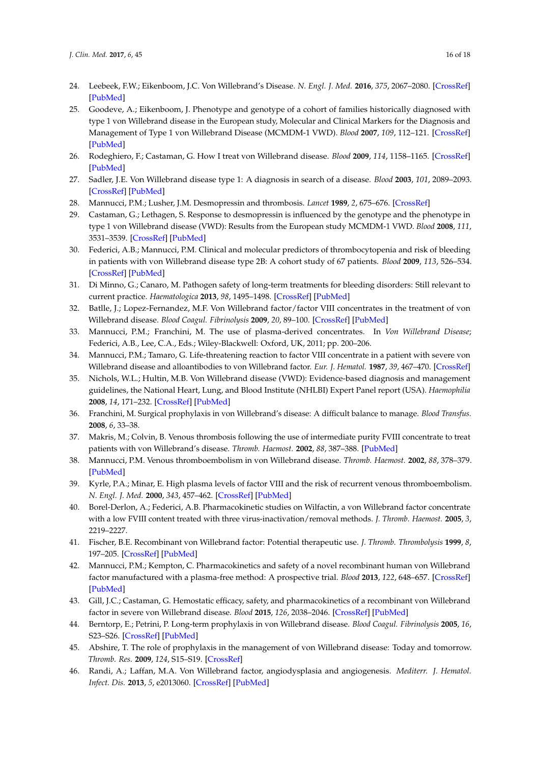- <span id="page-15-0"></span>24. Leebeek, F.W.; Eikenboom, J.C. Von Willebrand's Disease. *N. Engl. J. Med.* **2016**, *375*, 2067–2080. [\[CrossRef\]](http://dx.doi.org/10.1056/NEJMra1601561) [\[PubMed\]](http://www.ncbi.nlm.nih.gov/pubmed/27959741)
- <span id="page-15-1"></span>25. Goodeve, A.; Eikenboom, J. Phenotype and genotype of a cohort of families historically diagnosed with type 1 von Willebrand disease in the European study, Molecular and Clinical Markers for the Diagnosis and Management of Type 1 von Willebrand Disease (MCMDM-1 VWD). *Blood* **2007**, *109*, 112–121. [\[CrossRef\]](http://dx.doi.org/10.1182/blood-2006-05-020784) [\[PubMed\]](http://www.ncbi.nlm.nih.gov/pubmed/16985174)
- <span id="page-15-2"></span>26. Rodeghiero, F.; Castaman, G. How I treat von Willebrand disease. *Blood* **2009**, *114*, 1158–1165. [\[CrossRef\]](http://dx.doi.org/10.1182/blood-2009-01-153296) [\[PubMed\]](http://www.ncbi.nlm.nih.gov/pubmed/19474451)
- <span id="page-15-3"></span>27. Sadler, J.E. Von Willebrand disease type 1: A diagnosis in search of a disease. *Blood* **2003**, *101*, 2089–2093. [\[CrossRef\]](http://dx.doi.org/10.1182/blood-2002-09-2892) [\[PubMed\]](http://www.ncbi.nlm.nih.gov/pubmed/12411289)
- <span id="page-15-4"></span>28. Mannucci, P.M.; Lusher, J.M. Desmopressin and thrombosis. *Lancet* **1989**, *2*, 675–676. [\[CrossRef\]](http://dx.doi.org/10.1016/S0140-6736(89)90915-X)
- <span id="page-15-5"></span>29. Castaman, G.; Lethagen, S. Response to desmopressin is influenced by the genotype and the phenotype in type 1 von Willebrand disease (VWD): Results from the European study MCMDM-1 VWD. *Blood* **2008**, *111*, 3531–3539. [\[CrossRef\]](http://dx.doi.org/10.1182/blood-2007-08-109231) [\[PubMed\]](http://www.ncbi.nlm.nih.gov/pubmed/18230755)
- <span id="page-15-6"></span>30. Federici, A.B.; Mannucci, P.M. Clinical and molecular predictors of thrombocytopenia and risk of bleeding in patients with von Willebrand disease type 2B: A cohort study of 67 patients. *Blood* **2009**, *113*, 526–534. [\[CrossRef\]](http://dx.doi.org/10.1182/blood-2008-04-152280) [\[PubMed\]](http://www.ncbi.nlm.nih.gov/pubmed/18805962)
- <span id="page-15-7"></span>31. Di Minno, G.; Canaro, M. Pathogen safety of long-term treatments for bleeding disorders: Still relevant to current practice. *Haematologica* **2013**, *98*, 1495–1498. [\[CrossRef\]](http://dx.doi.org/10.3324/haematol.2013.084145) [\[PubMed\]](http://www.ncbi.nlm.nih.gov/pubmed/24091928)
- <span id="page-15-8"></span>32. Batlle, J.; Lopez-Fernandez, M.F. Von Willebrand factor/factor VIII concentrates in the treatment of von Willebrand disease. *Blood Coagul. Fibrinolysis* **2009**, *20*, 89–100. [\[CrossRef\]](http://dx.doi.org/10.1097/MBC.0b013e3283254570) [\[PubMed\]](http://www.ncbi.nlm.nih.gov/pubmed/19786936)
- <span id="page-15-9"></span>33. Mannucci, P.M.; Franchini, M. The use of plasma-derived concentrates. In *Von Willebrand Disease*; Federici, A.B., Lee, C.A., Eds.; Wiley-Blackwell: Oxford, UK, 2011; pp. 200–206.
- <span id="page-15-10"></span>34. Mannucci, P.M.; Tamaro, G. Life-threatening reaction to factor VIII concentrate in a patient with severe von Willebrand disease and alloantibodies to von Willebrand factor. *Eur. J. Hematol.* **1987**, *39*, 467–470. [\[CrossRef\]](http://dx.doi.org/10.1111/j.1600-0609.1987.tb01458.x)
- <span id="page-15-11"></span>35. Nichols, W.L.; Hultin, M.B. Von Willebrand disease (VWD): Evidence-based diagnosis and management guidelines, the National Heart, Lung, and Blood Institute (NHLBI) Expert Panel report (USA). *Haemophilia* **2008**, *14*, 171–232. [\[CrossRef\]](http://dx.doi.org/10.1111/j.1365-2516.2007.01643.x) [\[PubMed\]](http://www.ncbi.nlm.nih.gov/pubmed/18315614)
- <span id="page-15-12"></span>36. Franchini, M. Surgical prophylaxis in von Willebrand's disease: A difficult balance to manage. *Blood Transfus.* **2008**, *6*, 33–38.
- <span id="page-15-13"></span>37. Makris, M.; Colvin, B. Venous thrombosis following the use of intermediate purity FVIII concentrate to treat patients with von Willebrand's disease. *Thromb. Haemost.* **2002**, *88*, 387–388. [\[PubMed\]](http://www.ncbi.nlm.nih.gov/pubmed/12353065)
- <span id="page-15-14"></span>38. Mannucci, P.M. Venous thromboembolism in von Willebrand disease. *Thromb. Haemost.* **2002**, *88*, 378–379. [\[PubMed\]](http://www.ncbi.nlm.nih.gov/pubmed/12353063)
- <span id="page-15-15"></span>39. Kyrle, P.A.; Minar, E. High plasma levels of factor VIII and the risk of recurrent venous thromboembolism. *N. Engl. J. Med.* **2000**, *343*, 457–462. [\[CrossRef\]](http://dx.doi.org/10.1056/NEJM200008173430702) [\[PubMed\]](http://www.ncbi.nlm.nih.gov/pubmed/10950667)
- <span id="page-15-16"></span>40. Borel-Derlon, A.; Federici, A.B. Pharmacokinetic studies on Wilfactin, a von Willebrand factor concentrate with a low FVIII content treated with three virus-inactivation/removal methods. *J. Thromb. Haemost.* **2005**, *3*, 2219–2227.
- <span id="page-15-17"></span>41. Fischer, B.E. Recombinant von Willebrand factor: Potential therapeutic use. *J. Thromb. Thrombolysis* **1999**, *8*, 197–205. [\[CrossRef\]](http://dx.doi.org/10.1023/A:1008906103637) [\[PubMed\]](http://www.ncbi.nlm.nih.gov/pubmed/10500309)
- <span id="page-15-18"></span>42. Mannucci, P.M.; Kempton, C. Pharmacokinetics and safety of a novel recombinant human von Willebrand factor manufactured with a plasma-free method: A prospective trial. *Blood* **2013**, *122*, 648–657. [\[CrossRef\]](http://dx.doi.org/10.1182/blood-2013-01-479527) [\[PubMed\]](http://www.ncbi.nlm.nih.gov/pubmed/23777763)
- <span id="page-15-19"></span>43. Gill, J.C.; Castaman, G. Hemostatic efficacy, safety, and pharmacokinetics of a recombinant von Willebrand factor in severe von Willebrand disease. *Blood* **2015**, *126*, 2038–2046. [\[CrossRef\]](http://dx.doi.org/10.1182/blood-2015-02-629873) [\[PubMed\]](http://www.ncbi.nlm.nih.gov/pubmed/26239086)
- <span id="page-15-20"></span>44. Berntorp, E.; Petrini, P. Long-term prophylaxis in von Willebrand disease. *Blood Coagul. Fibrinolysis* **2005**, *16*, S23–S26. [\[CrossRef\]](http://dx.doi.org/10.1097/01.mbc.0000167659.23262.18) [\[PubMed\]](http://www.ncbi.nlm.nih.gov/pubmed/15849523)
- <span id="page-15-21"></span>45. Abshire, T. The role of prophylaxis in the management of von Willebrand disease: Today and tomorrow. *Thromb. Res.* **2009**, *124*, S15–S19. [\[CrossRef\]](http://dx.doi.org/10.1016/S0049-3848(09)70153-7)
- <span id="page-15-22"></span>46. Randi, A.; Laffan, M.A. Von Willebrand factor, angiodysplasia and angiogenesis. *Mediterr. J. Hematol. Infect. Dis.* **2013**, *5*, e2013060. [\[CrossRef\]](http://dx.doi.org/10.4084/mjhid.2013.060) [\[PubMed\]](http://www.ncbi.nlm.nih.gov/pubmed/24106610)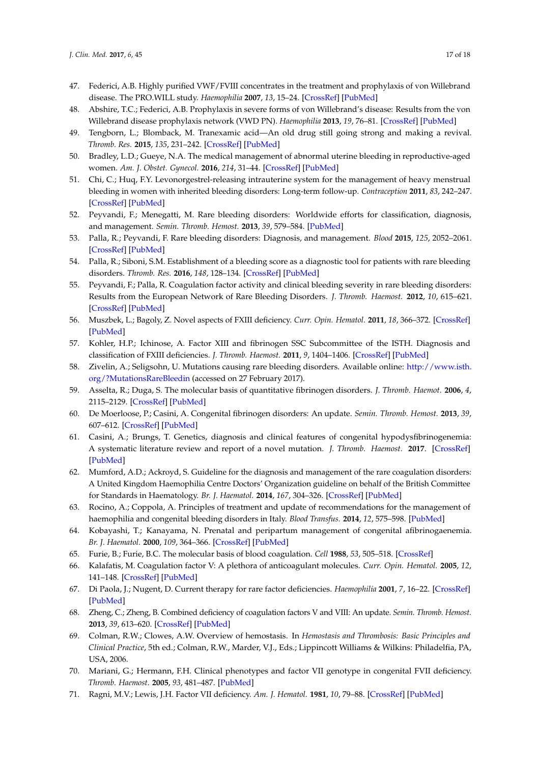- <span id="page-16-0"></span>47. Federici, A.B. Highly purified VWF/FVIII concentrates in the treatment and prophylaxis of von Willebrand disease. The PRO.WILL study. *Haemophilia* **2007**, *13*, 15–24. [\[CrossRef\]](http://dx.doi.org/10.1111/j.1365-2516.2007.01573.x) [\[PubMed\]](http://www.ncbi.nlm.nih.gov/pubmed/18078393)
- <span id="page-16-1"></span>48. Abshire, T.C.; Federici, A.B. Prophylaxis in severe forms of von Willebrand's disease: Results from the von Willebrand disease prophylaxis network (VWD PN). *Haemophilia* **2013**, *19*, 76–81. [\[CrossRef\]](http://dx.doi.org/10.1111/j.1365-2516.2012.02916.x) [\[PubMed\]](http://www.ncbi.nlm.nih.gov/pubmed/22823000)
- <span id="page-16-2"></span>49. Tengborn, L.; Blomback, M. Tranexamic acid—An old drug still going strong and making a revival. *Thromb. Res.* **2015**, *135*, 231–242. [\[CrossRef\]](http://dx.doi.org/10.1016/j.thromres.2014.11.012) [\[PubMed\]](http://www.ncbi.nlm.nih.gov/pubmed/25559460)
- <span id="page-16-3"></span>50. Bradley, L.D.; Gueye, N.A. The medical management of abnormal uterine bleeding in reproductive-aged women. *Am. J. Obstet. Gynecol.* **2016**, *214*, 31–44. [\[CrossRef\]](http://dx.doi.org/10.1016/j.ajog.2015.07.044) [\[PubMed\]](http://www.ncbi.nlm.nih.gov/pubmed/26254516)
- <span id="page-16-4"></span>51. Chi, C.; Huq, F.Y. Levonorgestrel-releasing intrauterine system for the management of heavy menstrual bleeding in women with inherited bleeding disorders: Long-term follow-up. *Contraception* **2011**, *83*, 242–247. [\[CrossRef\]](http://dx.doi.org/10.1016/j.contraception.2010.07.010) [\[PubMed\]](http://www.ncbi.nlm.nih.gov/pubmed/21310286)
- <span id="page-16-5"></span>52. Peyvandi, F.; Menegatti, M. Rare bleeding disorders: Worldwide efforts for classification, diagnosis, and management. *Semin. Thromb. Hemost.* **2013**, *39*, 579–584. [\[PubMed\]](http://www.ncbi.nlm.nih.gov/pubmed/23888434)
- <span id="page-16-6"></span>53. Palla, R.; Peyvandi, F. Rare bleeding disorders: Diagnosis, and management. *Blood* **2015**, *125*, 2052–2061. [\[CrossRef\]](http://dx.doi.org/10.1182/blood-2014-08-532820) [\[PubMed\]](http://www.ncbi.nlm.nih.gov/pubmed/25712993)
- <span id="page-16-7"></span>54. Palla, R.; Siboni, S.M. Establishment of a bleeding score as a diagnostic tool for patients with rare bleeding disorders. *Thromb. Res.* **2016**, *148*, 128–134. [\[CrossRef\]](http://dx.doi.org/10.1016/j.thromres.2016.11.008) [\[PubMed\]](http://www.ncbi.nlm.nih.gov/pubmed/27855295)
- <span id="page-16-8"></span>55. Peyvandi, F.; Palla, R. Coagulation factor activity and clinical bleeding severity in rare bleeding disorders: Results from the European Network of Rare Bleeding Disorders. *J. Thromb. Haemost.* **2012**, *10*, 615–621. [\[CrossRef\]](http://dx.doi.org/10.1111/j.1538-7836.2012.04653.x) [\[PubMed\]](http://www.ncbi.nlm.nih.gov/pubmed/22321862)
- <span id="page-16-9"></span>56. Muszbek, L.; Bagoly, Z. Novel aspects of FXIII deficiency. *Curr. Opin. Hematol.* **2011**, *18*, 366–372. [\[CrossRef\]](http://dx.doi.org/10.1097/MOH.0b013e3283497e3e) [\[PubMed\]](http://www.ncbi.nlm.nih.gov/pubmed/21738029)
- <span id="page-16-10"></span>57. Kohler, H.P.; Ichinose, A. Factor XIII and fibrinogen SSC Subcommittee of the ISTH. Diagnosis and classification of FXIII deficiencies. *J. Thromb. Haemost.* **2011**, *9*, 1404–1406. [\[CrossRef\]](http://dx.doi.org/10.1111/j.1538-7836.2011.04315.x) [\[PubMed\]](http://www.ncbi.nlm.nih.gov/pubmed/22946956)
- <span id="page-16-11"></span>58. Zivelin, A.; Seligsohn, U. Mutations causing rare bleeding disorders. Available online: [http://www.isth.](http://www.isth.org/?MutationsRareBleedin) [org/?MutationsRareBleedin](http://www.isth.org/?MutationsRareBleedin) (accessed on 27 February 2017).
- <span id="page-16-12"></span>59. Asselta, R.; Duga, S. The molecular basis of quantitative fibrinogen disorders. *J. Thromb. Haemot.* **2006**, *4*, 2115–2129. [\[CrossRef\]](http://dx.doi.org/10.1111/j.1538-7836.2006.02094.x) [\[PubMed\]](http://www.ncbi.nlm.nih.gov/pubmed/16999847)
- <span id="page-16-13"></span>60. De Moerloose, P.; Casini, A. Congenital fibrinogen disorders: An update. *Semin. Thromb. Hemost.* **2013**, *39*, 607–612. [\[CrossRef\]](http://dx.doi.org/10.1055/s-0029-1225758) [\[PubMed\]](http://www.ncbi.nlm.nih.gov/pubmed/19598064)
- <span id="page-16-14"></span>61. Casini, A.; Brungs, T. Genetics, diagnosis and clinical features of congenital hypodysfibrinogenemia: A systematic literature review and report of a novel mutation. *J. Thromb. Haemost.* **2017**. [\[CrossRef\]](http://dx.doi.org/10.1111/jth.13655) [\[PubMed\]](http://www.ncbi.nlm.nih.gov/pubmed/28211264)
- <span id="page-16-15"></span>62. Mumford, A.D.; Ackroyd, S. Guideline for the diagnosis and management of the rare coagulation disorders: A United Kingdom Haemophilia Centre Doctors' Organization guideline on behalf of the British Committee for Standards in Haematology. *Br. J. Haematol.* **2014**, *167*, 304–326. [\[CrossRef\]](http://dx.doi.org/10.1111/bjh.13058) [\[PubMed\]](http://www.ncbi.nlm.nih.gov/pubmed/25100430)
- <span id="page-16-16"></span>63. Rocino, A.; Coppola, A. Principles of treatment and update of recommendations for the management of haemophilia and congenital bleeding disorders in Italy. *Blood Transfus.* **2014**, *12*, 575–598. [\[PubMed\]](http://www.ncbi.nlm.nih.gov/pubmed/25350962)
- <span id="page-16-17"></span>64. Kobayashi, T.; Kanayama, N. Prenatal and peripartum management of congenital afibrinogaenemia. *Br. J. Haematol.* **2000**, *109*, 364–366. [\[CrossRef\]](http://dx.doi.org/10.1046/j.1365-2141.2000.01993.x) [\[PubMed\]](http://www.ncbi.nlm.nih.gov/pubmed/10848826)
- <span id="page-16-19"></span><span id="page-16-18"></span>65. Furie, B.; Furie, B.C. The molecular basis of blood coagulation. *Cell* **1988**, *53*, 505–518. [\[CrossRef\]](http://dx.doi.org/10.1016/0092-8674(88)90567-3)
- 66. Kalafatis, M. Coagulation factor V: A plethora of anticoagulant molecules. *Curr. Opin. Hematol.* **2005**, *12*, 141–148. [\[CrossRef\]](http://dx.doi.org/10.1097/01.moh.0000155016.30296.90) [\[PubMed\]](http://www.ncbi.nlm.nih.gov/pubmed/15725905)
- <span id="page-16-20"></span>67. Di Paola, J.; Nugent, D. Current therapy for rare factor deficiencies. *Haemophilia* **2001**, *7*, 16–22. [\[CrossRef\]](http://dx.doi.org/10.1046/j.1365-2516.2001.00100.x) [\[PubMed\]](http://www.ncbi.nlm.nih.gov/pubmed/11240614)
- <span id="page-16-21"></span>68. Zheng, C.; Zheng, B. Combined deficiency of coagulation factors V and VIII: An update. *Semin. Thromb. Hemost.* **2013**, *39*, 613–620. [\[CrossRef\]](http://dx.doi.org/10.1055/s-0033-1349223) [\[PubMed\]](http://www.ncbi.nlm.nih.gov/pubmed/23852824)
- <span id="page-16-22"></span>69. Colman, R.W.; Clowes, A.W. Overview of hemostasis. In *Hemostasis and Thrombosis: Basic Principles and Clinical Practice*, 5th ed.; Colman, R.W., Marder, V.J., Eds.; Lippincott Williams & Wilkins: Philadelfia, PA, USA, 2006.
- <span id="page-16-23"></span>70. Mariani, G.; Hermann, F.H. Clinical phenotypes and factor VII genotype in congenital FVII deficiency. *Thromb. Haemost.* **2005**, *93*, 481–487. [\[PubMed\]](http://www.ncbi.nlm.nih.gov/pubmed/15735798)
- <span id="page-16-24"></span>71. Ragni, M.V.; Lewis, J.H. Factor VII deficiency. *Am. J. Hematol.* **1981**, *10*, 79–88. [\[CrossRef\]](http://dx.doi.org/10.1002/ajh.2830100112) [\[PubMed\]](http://www.ncbi.nlm.nih.gov/pubmed/7258184)